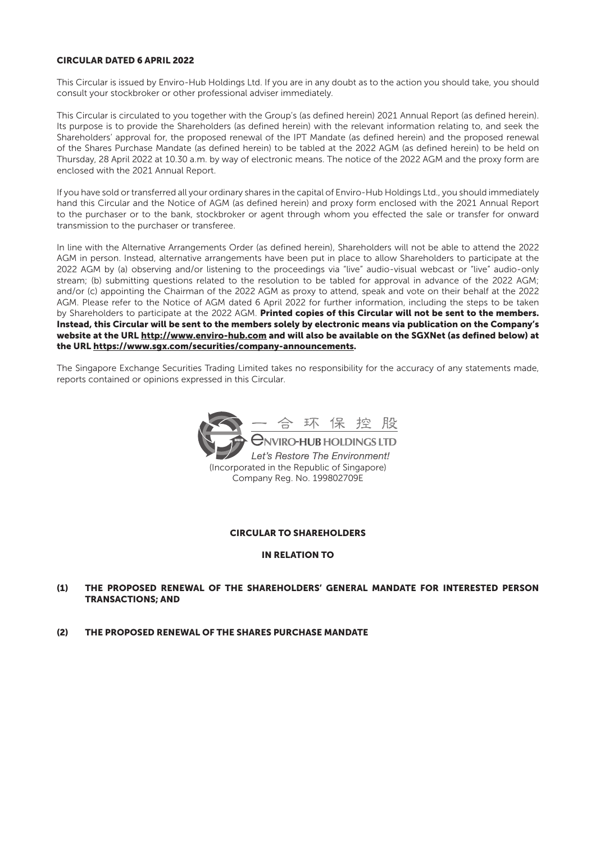### CIRCULAR DATED 6 APRIL 2022

This Circular is issued by Enviro-Hub Holdings Ltd. If you are in any doubt as to the action you should take, you should consult your stockbroker or other professional adviser immediately.

This Circular is circulated to you together with the Group's (as defined herein) 2021 Annual Report (as defined herein). Its purpose is to provide the Shareholders (as defined herein) with the relevant information relating to, and seek the Shareholders' approval for, the proposed renewal of the IPT Mandate (as defined herein) and the proposed renewal of the Shares Purchase Mandate (as defined herein) to be tabled at the 2022 AGM (as defined herein) to be held on Thursday, 28 April 2022 at 10.30 a.m. by way of electronic means. The notice of the 2022 AGM and the proxy form are enclosed with the 2021 Annual Report.

If you have sold or transferred all your ordinary shares in the capital of Enviro-Hub Holdings Ltd., you should immediately hand this Circular and the Notice of AGM (as defined herein) and proxy form enclosed with the 2021 Annual Report to the purchaser or to the bank, stockbroker or agent through whom you effected the sale or transfer for onward transmission to the purchaser or transferee.

In line with the Alternative Arrangements Order (as defined herein), Shareholders will not be able to attend the 2022 AGM in person. Instead, alternative arrangements have been put in place to allow Shareholders to participate at the 2022 AGM by (a) observing and/or listening to the proceedings via "live" audio-visual webcast or "live" audio-only stream; (b) submitting questions related to the resolution to be tabled for approval in advance of the 2022 AGM; and/or (c) appointing the Chairman of the 2022 AGM as proxy to attend, speak and vote on their behalf at the 2022 AGM. Please refer to the Notice of AGM dated 6 April 2022 for further information, including the steps to be taken by Shareholders to participate at the 2022 AGM. Printed copies of this Circular will not be sent to the members. Instead, this Circular will be sent to the members solely by electronic means via publication on the Company's website at the URL http://www.enviro-hub.com and will also be available on the SGXNet (as defined below) at the URL https://www.sgx.com/securities/company-announcements.

The Singapore Exchange Securities Trading Limited takes no responsibility for the accuracy of any statements made, reports contained or opinions expressed in this Circular.



#### CIRCULAR TO SHAREHOLDERS

#### IN RELATION TO

- (1) THE PROPOSED RENEWAL OF THE SHAREHOLDERS' GENERAL MANDATE FOR INTERESTED PERSON TRANSACTIONS; AND
- (2) THE PROPOSED RENEWAL OF THE SHARES PURCHASE MANDATE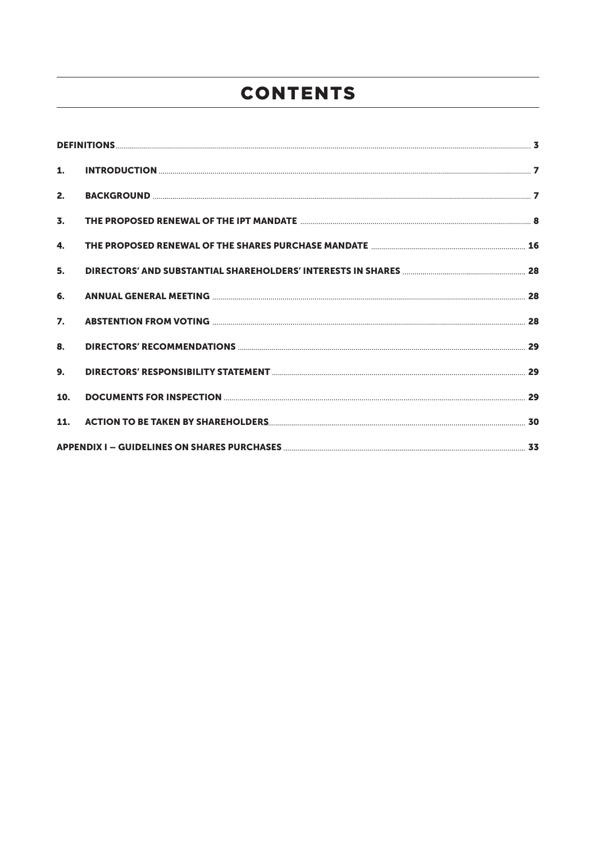# CONTENTS

| 2.               |  |
|------------------|--|
| $\overline{3}$ . |  |
| 4.               |  |
| 5.               |  |
| 6.               |  |
| $\overline{7}$ . |  |
| 8.               |  |
| 9.               |  |
| 10.              |  |
|                  |  |
|                  |  |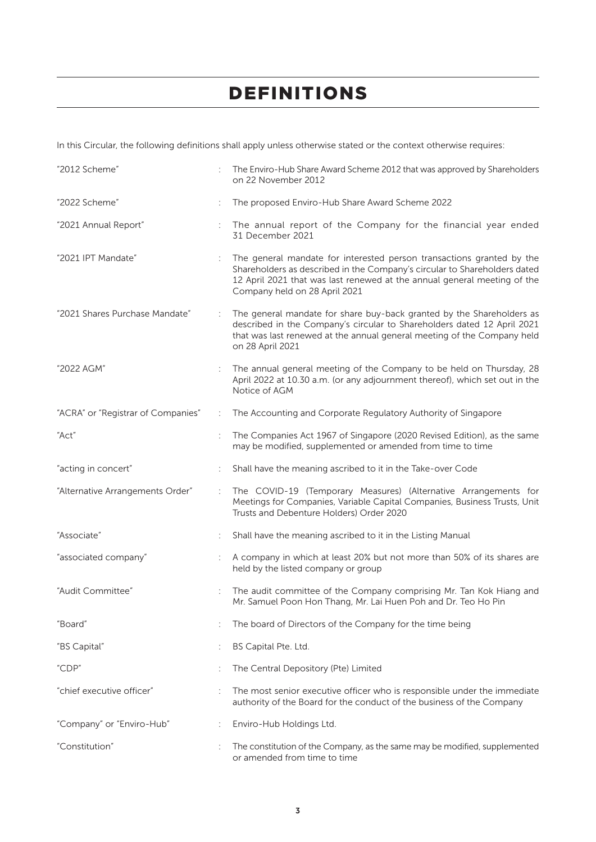In this Circular, the following definitions shall apply unless otherwise stated or the context otherwise requires:

| "2012 Scheme"                      |   | The Enviro-Hub Share Award Scheme 2012 that was approved by Shareholders<br>on 22 November 2012                                                                                                                                                                 |
|------------------------------------|---|-----------------------------------------------------------------------------------------------------------------------------------------------------------------------------------------------------------------------------------------------------------------|
| "2022 Scheme"                      |   | The proposed Enviro-Hub Share Award Scheme 2022                                                                                                                                                                                                                 |
| "2021 Annual Report"               |   | The annual report of the Company for the financial year ended<br>31 December 2021                                                                                                                                                                               |
| "2021 IPT Mandate"                 |   | The general mandate for interested person transactions granted by the<br>Shareholders as described in the Company's circular to Shareholders dated<br>12 April 2021 that was last renewed at the annual general meeting of the<br>Company held on 28 April 2021 |
| "2021 Shares Purchase Mandate"     |   | The general mandate for share buy-back granted by the Shareholders as<br>described in the Company's circular to Shareholders dated 12 April 2021<br>that was last renewed at the annual general meeting of the Company held<br>on 28 April 2021                 |
| "2022 AGM"                         | ÷ | The annual general meeting of the Company to be held on Thursday, 28<br>April 2022 at 10.30 a.m. (or any adjournment thereof), which set out in the<br>Notice of AGM                                                                                            |
| "ACRA" or "Registrar of Companies" | ÷ | The Accounting and Corporate Regulatory Authority of Singapore                                                                                                                                                                                                  |
| "Act"                              |   | The Companies Act 1967 of Singapore (2020 Revised Edition), as the same<br>may be modified, supplemented or amended from time to time                                                                                                                           |
| "acting in concert"                |   | Shall have the meaning ascribed to it in the Take-over Code                                                                                                                                                                                                     |
| "Alternative Arrangements Order"   | ÷ | The COVID-19 (Temporary Measures) (Alternative Arrangements for<br>Meetings for Companies, Variable Capital Companies, Business Trusts, Unit<br>Trusts and Debenture Holders) Order 2020                                                                        |
| "Associate"                        |   | Shall have the meaning ascribed to it in the Listing Manual                                                                                                                                                                                                     |
| "associated company"               |   | A company in which at least 20% but not more than 50% of its shares are<br>held by the listed company or group                                                                                                                                                  |
| "Audit Committee"                  |   | The audit committee of the Company comprising Mr. Tan Kok Hiang and<br>Mr. Samuel Poon Hon Thang, Mr. Lai Huen Poh and Dr. Teo Ho Pin                                                                                                                           |
| "Board"                            |   | The board of Directors of the Company for the time being                                                                                                                                                                                                        |
| "BS Capital"                       |   | BS Capital Pte. Ltd.                                                                                                                                                                                                                                            |
| "CDP"                              |   | The Central Depository (Pte) Limited                                                                                                                                                                                                                            |
| "chief executive officer"          |   | The most senior executive officer who is responsible under the immediate<br>authority of the Board for the conduct of the business of the Company                                                                                                               |
| "Company" or "Enviro-Hub"          | ÷ | Enviro-Hub Holdings Ltd.                                                                                                                                                                                                                                        |
| "Constitution"                     |   | The constitution of the Company, as the same may be modified, supplemented<br>or amended from time to time                                                                                                                                                      |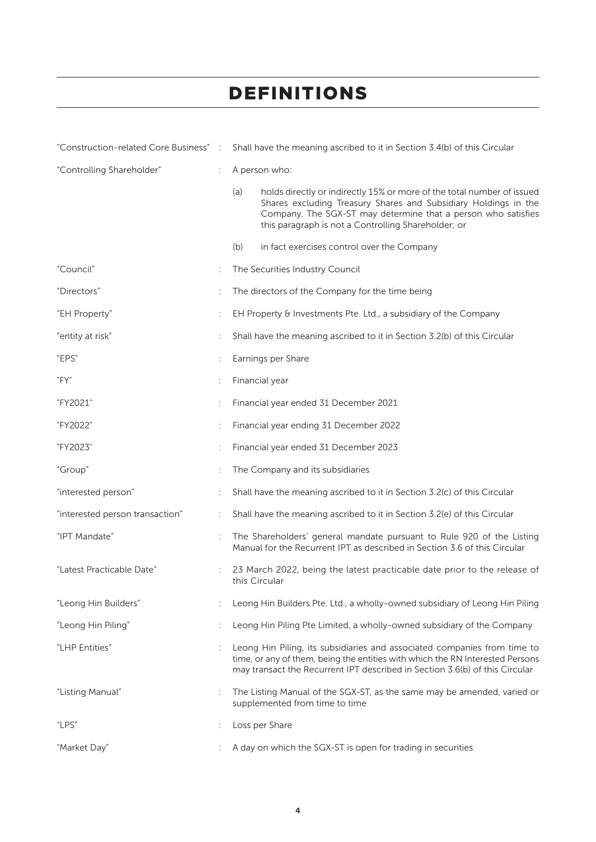|                                 |   | "Construction-related Core Business": Shall have the meaning ascribed to it in Section 3.4(b) of this Circular                                                                                                                                                           |
|---------------------------------|---|--------------------------------------------------------------------------------------------------------------------------------------------------------------------------------------------------------------------------------------------------------------------------|
| "Controlling Shareholder"       |   | A person who:                                                                                                                                                                                                                                                            |
|                                 |   | (a)<br>holds directly or indirectly 15% or more of the total number of issued<br>Shares excluding Treasury Shares and Subsidiary Holdings in the<br>Company. The SGX-ST may determine that a person who satisfies<br>this paragraph is not a Controlling Shareholder; or |
|                                 |   | (b)<br>in fact exercises control over the Company                                                                                                                                                                                                                        |
| "Council"                       |   | The Securities Industry Council                                                                                                                                                                                                                                          |
| "Directors"                     |   | The directors of the Company for the time being                                                                                                                                                                                                                          |
| "EH Property"                   |   | EH Property & Investments Pte. Ltd., a subsidiary of the Company                                                                                                                                                                                                         |
| "entity at risk"                |   | Shall have the meaning ascribed to it in Section 3.2(b) of this Circular                                                                                                                                                                                                 |
| "EPS"                           | t | Earnings per Share                                                                                                                                                                                                                                                       |
| "FY"                            |   | Financial year                                                                                                                                                                                                                                                           |
| "FY2021"                        |   | Financial year ended 31 December 2021                                                                                                                                                                                                                                    |
| "FY2022"                        |   | Financial year ending 31 December 2022                                                                                                                                                                                                                                   |
| "FY2023"                        |   | Financial year ended 31 December 2023                                                                                                                                                                                                                                    |
| "Group"                         |   | The Company and its subsidiaries                                                                                                                                                                                                                                         |
| "interested person"             |   | Shall have the meaning ascribed to it in Section 3.2(c) of this Circular                                                                                                                                                                                                 |
| "interested person transaction" |   | Shall have the meaning ascribed to it in Section 3.2(e) of this Circular                                                                                                                                                                                                 |
| "IPT Mandate"                   |   | The Shareholders' general mandate pursuant to Rule 920 of the Listing<br>Manual for the Recurrent IPT as described in Section 3.6 of this Circular                                                                                                                       |
| "Latest Practicable Date"       |   | 23 March 2022, being the latest practicable date prior to the release of<br>this Circular                                                                                                                                                                                |
| "Leong Hin Builders"            |   | Leong Hin Builders Pte. Ltd., a wholly-owned subsidiary of Leong Hin Piling                                                                                                                                                                                              |
| "Leong Hin Piling"              |   | Leong Hin Piling Pte Limited, a wholly-owned subsidiary of the Company                                                                                                                                                                                                   |
| "LHP Entities"                  |   | Leong Hin Piling, its subsidiaries and associated companies from time to<br>time, or any of them, being the entities with which the RN Interested Persons<br>may transact the Recurrent IPT described in Section 3.6(b) of this Circular                                 |
| "Listing Manual"                |   | The Listing Manual of the SGX-ST, as the same may be amended, varied or<br>supplemented from time to time                                                                                                                                                                |
| "LPS"                           |   | Loss per Share                                                                                                                                                                                                                                                           |
| "Market Day"                    |   | A day on which the SGX-ST is open for trading in securities                                                                                                                                                                                                              |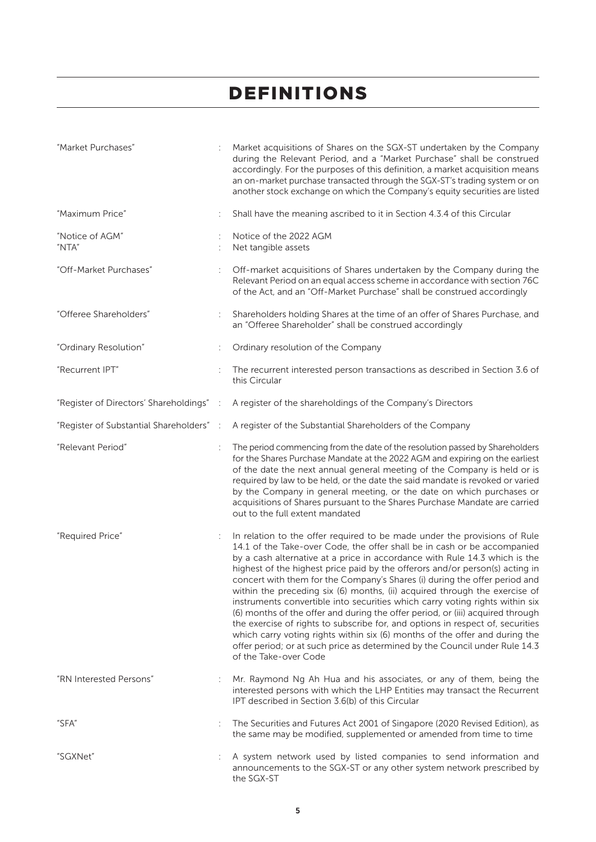| "Market Purchases"                       |   | Market acquisitions of Shares on the SGX-ST undertaken by the Company<br>during the Relevant Period, and a "Market Purchase" shall be construed<br>accordingly. For the purposes of this definition, a market acquisition means<br>an on-market purchase transacted through the SGX-ST's trading system or on<br>another stock exchange on which the Company's equity securities are listed                                                                                                                                                                                                                                                                                                                                                                                                                                                                                                                                |
|------------------------------------------|---|----------------------------------------------------------------------------------------------------------------------------------------------------------------------------------------------------------------------------------------------------------------------------------------------------------------------------------------------------------------------------------------------------------------------------------------------------------------------------------------------------------------------------------------------------------------------------------------------------------------------------------------------------------------------------------------------------------------------------------------------------------------------------------------------------------------------------------------------------------------------------------------------------------------------------|
| "Maximum Price"                          |   | Shall have the meaning ascribed to it in Section 4.3.4 of this Circular                                                                                                                                                                                                                                                                                                                                                                                                                                                                                                                                                                                                                                                                                                                                                                                                                                                    |
| "Notice of AGM"<br>"NTA"                 |   | Notice of the 2022 AGM<br>Net tangible assets                                                                                                                                                                                                                                                                                                                                                                                                                                                                                                                                                                                                                                                                                                                                                                                                                                                                              |
| "Off-Market Purchases"                   |   | Off-market acquisitions of Shares undertaken by the Company during the<br>Relevant Period on an equal access scheme in accordance with section 76C<br>of the Act, and an "Off-Market Purchase" shall be construed accordingly                                                                                                                                                                                                                                                                                                                                                                                                                                                                                                                                                                                                                                                                                              |
| "Offeree Shareholders"                   |   | Shareholders holding Shares at the time of an offer of Shares Purchase, and<br>an "Offeree Shareholder" shall be construed accordingly                                                                                                                                                                                                                                                                                                                                                                                                                                                                                                                                                                                                                                                                                                                                                                                     |
| "Ordinary Resolution"                    |   | Ordinary resolution of the Company                                                                                                                                                                                                                                                                                                                                                                                                                                                                                                                                                                                                                                                                                                                                                                                                                                                                                         |
| "Recurrent IPT"                          |   | The recurrent interested person transactions as described in Section 3.6 of<br>this Circular                                                                                                                                                                                                                                                                                                                                                                                                                                                                                                                                                                                                                                                                                                                                                                                                                               |
| "Register of Directors' Shareholdings" : |   | A register of the shareholdings of the Company's Directors                                                                                                                                                                                                                                                                                                                                                                                                                                                                                                                                                                                                                                                                                                                                                                                                                                                                 |
| "Register of Substantial Shareholders" : |   | A register of the Substantial Shareholders of the Company                                                                                                                                                                                                                                                                                                                                                                                                                                                                                                                                                                                                                                                                                                                                                                                                                                                                  |
| "Relevant Period"                        |   | The period commencing from the date of the resolution passed by Shareholders<br>for the Shares Purchase Mandate at the 2022 AGM and expiring on the earliest<br>of the date the next annual general meeting of the Company is held or is<br>required by law to be held, or the date the said mandate is revoked or varied<br>by the Company in general meeting, or the date on which purchases or<br>acquisitions of Shares pursuant to the Shares Purchase Mandate are carried<br>out to the full extent mandated                                                                                                                                                                                                                                                                                                                                                                                                         |
| "Required Price"                         |   | In relation to the offer required to be made under the provisions of Rule<br>14.1 of the Take-over Code, the offer shall be in cash or be accompanied<br>by a cash alternative at a price in accordance with Rule 14.3 which is the<br>highest of the highest price paid by the offerors and/or person(s) acting in<br>concert with them for the Company's Shares (i) during the offer period and<br>within the preceding six (6) months, (ii) acquired through the exercise of<br>instruments convertible into securities which carry voting rights within six<br>(6) months of the offer and during the offer period, or (iii) acquired through<br>the exercise of rights to subscribe for, and options in respect of, securities<br>which carry voting rights within six (6) months of the offer and during the<br>offer period; or at such price as determined by the Council under Rule 14.3<br>of the Take-over Code |
| "RN Interested Persons"                  |   | Mr. Raymond Ng Ah Hua and his associates, or any of them, being the<br>interested persons with which the LHP Entities may transact the Recurrent<br>IPT described in Section 3.6(b) of this Circular                                                                                                                                                                                                                                                                                                                                                                                                                                                                                                                                                                                                                                                                                                                       |
| "SFA"                                    | ÷ | The Securities and Futures Act 2001 of Singapore (2020 Revised Edition), as<br>the same may be modified, supplemented or amended from time to time                                                                                                                                                                                                                                                                                                                                                                                                                                                                                                                                                                                                                                                                                                                                                                         |
| "SGXNet"                                 |   | A system network used by listed companies to send information and<br>announcements to the SGX-ST or any other system network prescribed by<br>the SGX-ST                                                                                                                                                                                                                                                                                                                                                                                                                                                                                                                                                                                                                                                                                                                                                                   |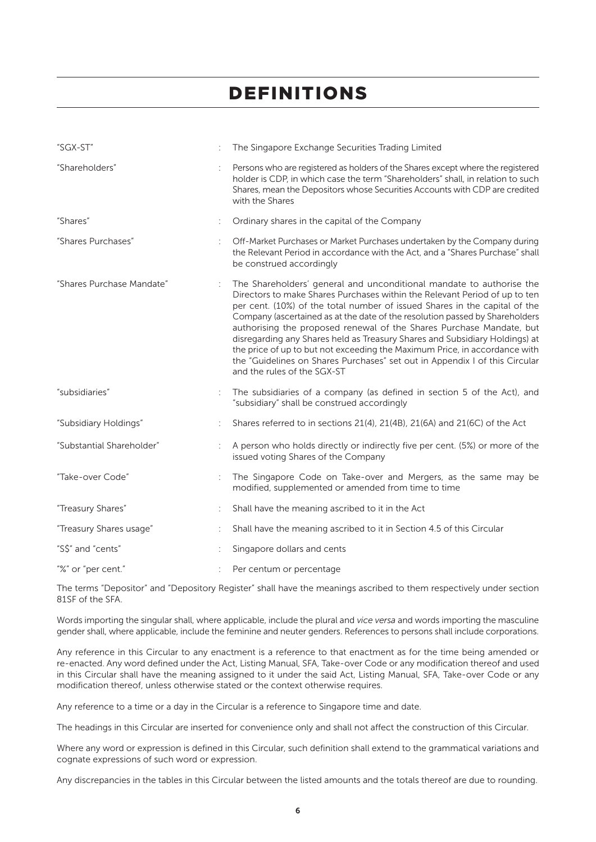| "SGX-ST"                  |   | The Singapore Exchange Securities Trading Limited                                                                                                                                                                                                                                                                                                                                                                                                                                                                                                                                                                                                                   |
|---------------------------|---|---------------------------------------------------------------------------------------------------------------------------------------------------------------------------------------------------------------------------------------------------------------------------------------------------------------------------------------------------------------------------------------------------------------------------------------------------------------------------------------------------------------------------------------------------------------------------------------------------------------------------------------------------------------------|
| "Shareholders"            |   | Persons who are registered as holders of the Shares except where the registered<br>holder is CDP, in which case the term "Shareholders" shall, in relation to such<br>Shares, mean the Depositors whose Securities Accounts with CDP are credited<br>with the Shares                                                                                                                                                                                                                                                                                                                                                                                                |
| "Shares"                  | ÷ | Ordinary shares in the capital of the Company                                                                                                                                                                                                                                                                                                                                                                                                                                                                                                                                                                                                                       |
| "Shares Purchases"        |   | Off-Market Purchases or Market Purchases undertaken by the Company during<br>the Relevant Period in accordance with the Act, and a "Shares Purchase" shall<br>be construed accordingly                                                                                                                                                                                                                                                                                                                                                                                                                                                                              |
| "Shares Purchase Mandate" |   | The Shareholders' general and unconditional mandate to authorise the<br>Directors to make Shares Purchases within the Relevant Period of up to ten<br>per cent. (10%) of the total number of issued Shares in the capital of the<br>Company (ascertained as at the date of the resolution passed by Shareholders<br>authorising the proposed renewal of the Shares Purchase Mandate, but<br>disregarding any Shares held as Treasury Shares and Subsidiary Holdings) at<br>the price of up to but not exceeding the Maximum Price, in accordance with<br>the "Guidelines on Shares Purchases" set out in Appendix I of this Circular<br>and the rules of the SGX-ST |
| "subsidiaries"            |   | The subsidiaries of a company (as defined in section 5 of the Act), and<br>"subsidiary" shall be construed accordingly                                                                                                                                                                                                                                                                                                                                                                                                                                                                                                                                              |
| "Subsidiary Holdings"     |   | Shares referred to in sections 21(4), 21(4B), 21(6A) and 21(6C) of the Act                                                                                                                                                                                                                                                                                                                                                                                                                                                                                                                                                                                          |
| "Substantial Shareholder" |   | A person who holds directly or indirectly five per cent. (5%) or more of the<br>issued voting Shares of the Company                                                                                                                                                                                                                                                                                                                                                                                                                                                                                                                                                 |
| "Take-over Code"          |   | The Singapore Code on Take-over and Mergers, as the same may be<br>modified, supplemented or amended from time to time                                                                                                                                                                                                                                                                                                                                                                                                                                                                                                                                              |
| "Treasury Shares"         | ÷ | Shall have the meaning ascribed to it in the Act                                                                                                                                                                                                                                                                                                                                                                                                                                                                                                                                                                                                                    |
| "Treasury Shares usage"   |   | Shall have the meaning ascribed to it in Section 4.5 of this Circular                                                                                                                                                                                                                                                                                                                                                                                                                                                                                                                                                                                               |
| "S\$" and "cents"         |   | Singapore dollars and cents                                                                                                                                                                                                                                                                                                                                                                                                                                                                                                                                                                                                                                         |
| "%" or "per cent."        |   | Per centum or percentage                                                                                                                                                                                                                                                                                                                                                                                                                                                                                                                                                                                                                                            |

The terms "Depositor" and "Depository Register" shall have the meanings ascribed to them respectively under section 81SF of the SFA.

Words importing the singular shall, where applicable, include the plural and *vice versa* and words importing the masculine gender shall, where applicable, include the feminine and neuter genders. References to persons shall include corporations.

Any reference in this Circular to any enactment is a reference to that enactment as for the time being amended or re-enacted. Any word defined under the Act, Listing Manual, SFA, Take-over Code or any modification thereof and used in this Circular shall have the meaning assigned to it under the said Act, Listing Manual, SFA, Take-over Code or any modification thereof, unless otherwise stated or the context otherwise requires.

Any reference to a time or a day in the Circular is a reference to Singapore time and date.

The headings in this Circular are inserted for convenience only and shall not affect the construction of this Circular.

Where any word or expression is defined in this Circular, such definition shall extend to the grammatical variations and cognate expressions of such word or expression.

Any discrepancies in the tables in this Circular between the listed amounts and the totals thereof are due to rounding.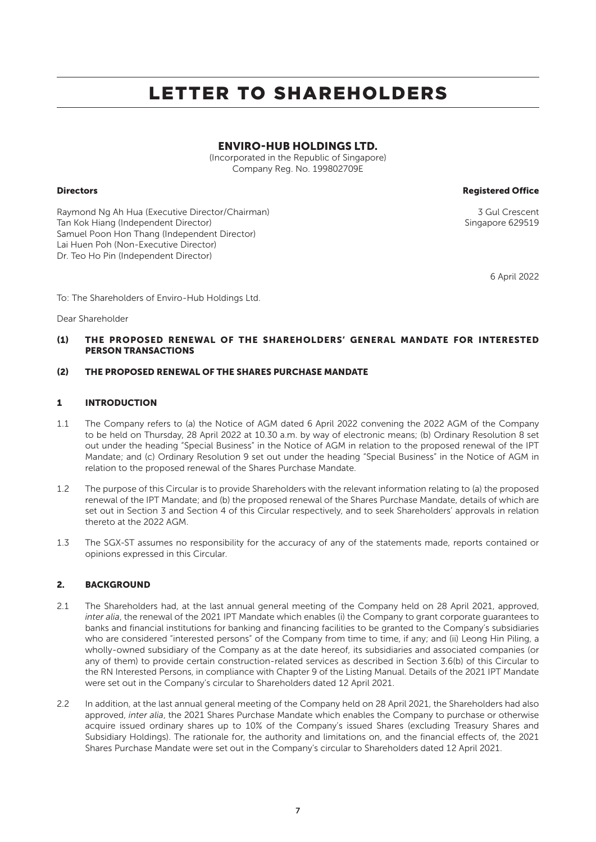### ENVIRO-HUB HOLDINGS LTD.

(Incorporated in the Republic of Singapore) Company Reg. No. 199802709E

Directors Registered Office

Raymond Ng Ah Hua (Executive Director/Chairman) 3 Gul Crescent Tan Kok Hiang (Independent Director) States and States and Singapore 629519 Samuel Poon Hon Thang (Independent Director) Lai Huen Poh (Non-Executive Director) Dr. Teo Ho Pin (Independent Director)

6 April 2022

To: The Shareholders of Enviro-Hub Holdings Ltd.

Dear Shareholder

### (1) THE PROPOSED RENEWAL OF THE SHAREHOLDERS' GENERAL MANDATE FOR INTERESTED PERSON TRANSACTIONS

### (2) THE PROPOSED RENEWAL OF THE SHARES PURCHASE MANDATE

### 1 INTRODUCTION

- 1.1 The Company refers to (a) the Notice of AGM dated 6 April 2022 convening the 2022 AGM of the Company to be held on Thursday, 28 April 2022 at 10.30 a.m. by way of electronic means; (b) Ordinary Resolution 8 set out under the heading "Special Business" in the Notice of AGM in relation to the proposed renewal of the IPT Mandate; and (c) Ordinary Resolution 9 set out under the heading "Special Business" in the Notice of AGM in relation to the proposed renewal of the Shares Purchase Mandate.
- 1.2 The purpose of this Circular is to provide Shareholders with the relevant information relating to (a) the proposed renewal of the IPT Mandate; and (b) the proposed renewal of the Shares Purchase Mandate, details of which are set out in Section 3 and Section 4 of this Circular respectively, and to seek Shareholders' approvals in relation thereto at the 2022 AGM.
- 1.3 The SGX-ST assumes no responsibility for the accuracy of any of the statements made, reports contained or opinions expressed in this Circular.

### 2. BACKGROUND

- 2.1 The Shareholders had, at the last annual general meeting of the Company held on 28 April 2021, approved, *inter alia*, the renewal of the 2021 IPT Mandate which enables (i) the Company to grant corporate guarantees to banks and financial institutions for banking and financing facilities to be granted to the Company's subsidiaries who are considered "interested persons" of the Company from time to time, if any; and (ii) Leong Hin Piling, a wholly-owned subsidiary of the Company as at the date hereof, its subsidiaries and associated companies (or any of them) to provide certain construction-related services as described in Section 3.6(b) of this Circular to the RN Interested Persons, in compliance with Chapter 9 of the Listing Manual. Details of the 2021 IPT Mandate were set out in the Company's circular to Shareholders dated 12 April 2021.
- 2.2 In addition, at the last annual general meeting of the Company held on 28 April 2021, the Shareholders had also approved, *inter alia*, the 2021 Shares Purchase Mandate which enables the Company to purchase or otherwise acquire issued ordinary shares up to 10% of the Company's issued Shares (excluding Treasury Shares and Subsidiary Holdings). The rationale for, the authority and limitations on, and the financial effects of, the 2021 Shares Purchase Mandate were set out in the Company's circular to Shareholders dated 12 April 2021.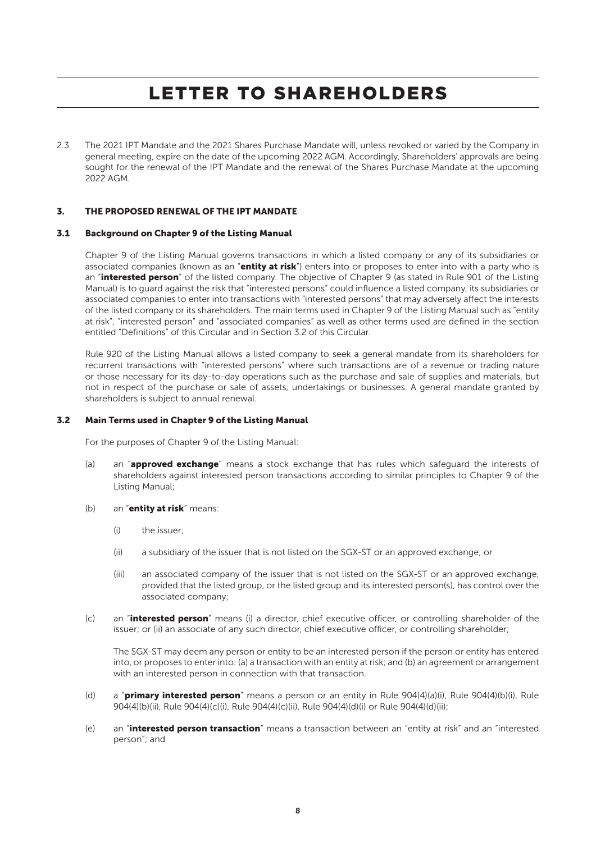2.3 The 2021 IPT Mandate and the 2021 Shares Purchase Mandate will, unless revoked or varied by the Company in general meeting, expire on the date of the upcoming 2022 AGM. Accordingly, Shareholders' approvals are being sought for the renewal of the IPT Mandate and the renewal of the Shares Purchase Mandate at the upcoming 2022 AGM.

### 3. THE PROPOSED RENEWAL OF THE IPT MANDATE

#### 3.1 Background on Chapter 9 of the Listing Manual

Chapter 9 of the Listing Manual governs transactions in which a listed company or any of its subsidiaries or associated companies (known as an "entity at risk") enters into or proposes to enter into with a party who is an "interested person" of the listed company. The objective of Chapter 9 (as stated in Rule 901 of the Listing Manual) is to guard against the risk that "interested persons" could influence a listed company, its subsidiaries or associated companies to enter into transactions with "interested persons" that may adversely affect the interests of the listed company or its shareholders. The main terms used in Chapter 9 of the Listing Manual such as "entity at risk", "interested person" and "associated companies" as well as other terms used are defined in the section entitled "Definitions" of this Circular and in Section 3.2 of this Circular.

Rule 920 of the Listing Manual allows a listed company to seek a general mandate from its shareholders for recurrent transactions with "interested persons" where such transactions are of a revenue or trading nature or those necessary for its day-to-day operations such as the purchase and sale of supplies and materials, but not in respect of the purchase or sale of assets, undertakings or businesses. A general mandate granted by shareholders is subject to annual renewal.

### 3.2 Main Terms used in Chapter 9 of the Listing Manual

For the purposes of Chapter 9 of the Listing Manual:

- (a) an "approved exchange" means a stock exchange that has rules which safeguard the interests of shareholders against interested person transactions according to similar principles to Chapter 9 of the Listing Manual;
- (b) an "**entity at risk**" means:
	- (i) the issuer;
	- (ii) a subsidiary of the issuer that is not listed on the SGX-ST or an approved exchange; or
	- (iii) an associated company of the issuer that is not listed on the SGX-ST or an approved exchange, provided that the listed group, or the listed group and its interested person(s), has control over the associated company;
- (c) an "interested person" means (i) a director, chief executive officer, or controlling shareholder of the issuer; or (ii) an associate of any such director, chief executive officer, or controlling shareholder;

The SGX-ST may deem any person or entity to be an interested person if the person or entity has entered into, or proposes to enter into: (a) a transaction with an entity at risk; and (b) an agreement or arrangement with an interested person in connection with that transaction.

- (d) a "primary interested person" means a person or an entity in Rule 904(4)(a)(i), Rule 904(4)(b)(i), Rule 904(4)(b)(ii), Rule 904(4)(c)(i), Rule 904(4)(c)(ii), Rule 904(4)(d)(i) or Rule 904(4)(d)(ii);
- (e) an "interested person transaction" means a transaction between an "entity at risk" and an "interested person"; and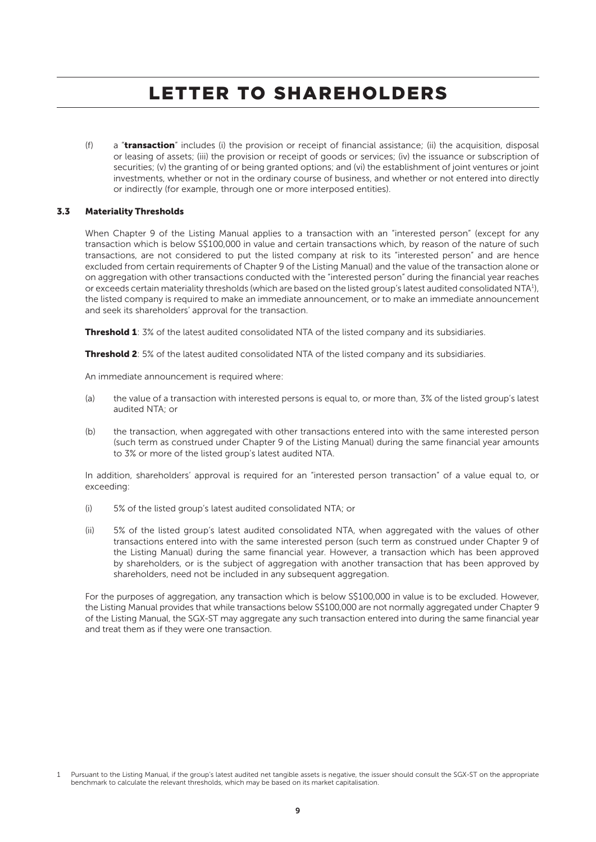(f) a "transaction" includes (i) the provision or receipt of financial assistance; (ii) the acquisition, disposal or leasing of assets; (iii) the provision or receipt of goods or services; (iv) the issuance or subscription of securities; (v) the granting of or being granted options; and (vi) the establishment of joint ventures or joint investments, whether or not in the ordinary course of business, and whether or not entered into directly or indirectly (for example, through one or more interposed entities).

### 3.3 Materiality Thresholds

When Chapter 9 of the Listing Manual applies to a transaction with an "interested person" (except for any transaction which is below S\$100,000 in value and certain transactions which, by reason of the nature of such transactions, are not considered to put the listed company at risk to its "interested person" and are hence excluded from certain requirements of Chapter 9 of the Listing Manual) and the value of the transaction alone or on aggregation with other transactions conducted with the "interested person" during the financial year reaches or exceeds certain materiality thresholds (which are based on the listed group's latest audited consolidated NTA1 ), the listed company is required to make an immediate announcement, or to make an immediate announcement and seek its shareholders' approval for the transaction.

**Threshold 1**: 3% of the latest audited consolidated NTA of the listed company and its subsidiaries.

**Threshold 2**: 5% of the latest audited consolidated NTA of the listed company and its subsidiaries.

An immediate announcement is required where:

- (a) the value of a transaction with interested persons is equal to, or more than, 3% of the listed group's latest audited NTA; or
- (b) the transaction, when aggregated with other transactions entered into with the same interested person (such term as construed under Chapter 9 of the Listing Manual) during the same financial year amounts to 3% or more of the listed group's latest audited NTA.

In addition, shareholders' approval is required for an "interested person transaction" of a value equal to, or exceeding:

- (i) 5% of the listed group's latest audited consolidated NTA; or
- (ii) 5% of the listed group's latest audited consolidated NTA, when aggregated with the values of other transactions entered into with the same interested person (such term as construed under Chapter 9 of the Listing Manual) during the same financial year. However, a transaction which has been approved by shareholders, or is the subject of aggregation with another transaction that has been approved by shareholders, need not be included in any subsequent aggregation.

For the purposes of aggregation, any transaction which is below S\$100,000 in value is to be excluded. However, the Listing Manual provides that while transactions below S\$100,000 are not normally aggregated under Chapter 9 of the Listing Manual, the SGX-ST may aggregate any such transaction entered into during the same financial year and treat them as if they were one transaction.

Pursuant to the Listing Manual, if the group's latest audited net tangible assets is negative, the issuer should consult the SGX-ST on the appropriate benchmark to calculate the relevant thresholds, which may be based on its market capitalisation.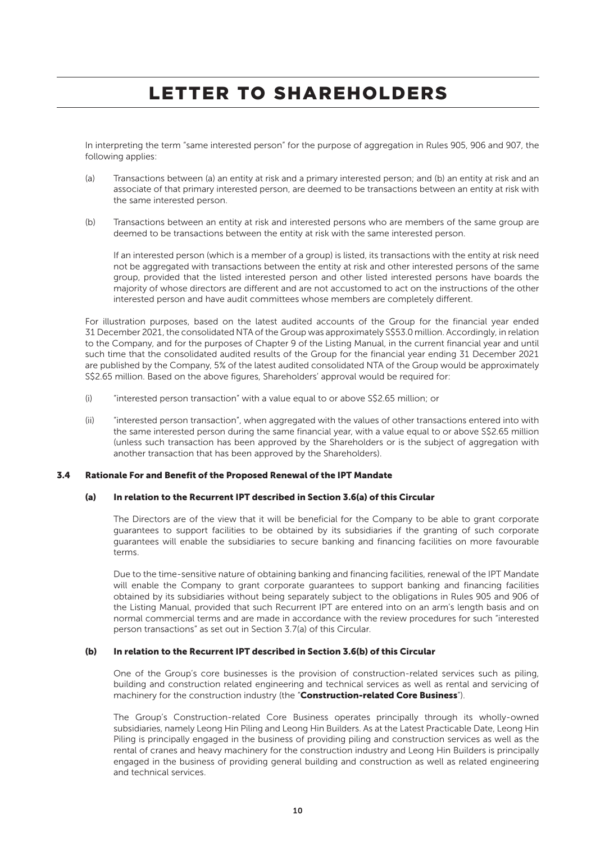In interpreting the term "same interested person" for the purpose of aggregation in Rules 905, 906 and 907, the following applies:

- (a) Transactions between (a) an entity at risk and a primary interested person; and (b) an entity at risk and an associate of that primary interested person, are deemed to be transactions between an entity at risk with the same interested person.
- (b) Transactions between an entity at risk and interested persons who are members of the same group are deemed to be transactions between the entity at risk with the same interested person.

If an interested person (which is a member of a group) is listed, its transactions with the entity at risk need not be aggregated with transactions between the entity at risk and other interested persons of the same group, provided that the listed interested person and other listed interested persons have boards the majority of whose directors are different and are not accustomed to act on the instructions of the other interested person and have audit committees whose members are completely different.

For illustration purposes, based on the latest audited accounts of the Group for the financial year ended 31 December 2021, the consolidated NTA of the Group was approximately S\$53.0 million. Accordingly, in relation to the Company, and for the purposes of Chapter 9 of the Listing Manual, in the current financial year and until such time that the consolidated audited results of the Group for the financial year ending 31 December 2021 are published by the Company, 5% of the latest audited consolidated NTA of the Group would be approximately S\$2.65 million. Based on the above figures, Shareholders' approval would be required for:

- (i) "interested person transaction" with a value equal to or above S\$2.65 million; or
- (ii) "interested person transaction", when aggregated with the values of other transactions entered into with the same interested person during the same financial year, with a value equal to or above S\$2.65 million (unless such transaction has been approved by the Shareholders or is the subject of aggregation with another transaction that has been approved by the Shareholders).

#### 3.4 Rationale For and Benefit of the Proposed Renewal of the IPT Mandate

### (a) In relation to the Recurrent IPT described in Section 3.6(a) of this Circular

The Directors are of the view that it will be beneficial for the Company to be able to grant corporate guarantees to support facilities to be obtained by its subsidiaries if the granting of such corporate guarantees will enable the subsidiaries to secure banking and financing facilities on more favourable terms.

Due to the time-sensitive nature of obtaining banking and financing facilities, renewal of the IPT Mandate will enable the Company to grant corporate guarantees to support banking and financing facilities obtained by its subsidiaries without being separately subject to the obligations in Rules 905 and 906 of the Listing Manual, provided that such Recurrent IPT are entered into on an arm's length basis and on normal commercial terms and are made in accordance with the review procedures for such "interested person transactions" as set out in Section 3.7(a) of this Circular.

### (b) In relation to the Recurrent IPT described in Section 3.6(b) of this Circular

One of the Group's core businesses is the provision of construction-related services such as piling, building and construction related engineering and technical services as well as rental and servicing of machinery for the construction industry (the "Construction-related Core Business").

The Group's Construction-related Core Business operates principally through its wholly-owned subsidiaries, namely Leong Hin Piling and Leong Hin Builders. As at the Latest Practicable Date, Leong Hin Piling is principally engaged in the business of providing piling and construction services as well as the rental of cranes and heavy machinery for the construction industry and Leong Hin Builders is principally engaged in the business of providing general building and construction as well as related engineering and technical services.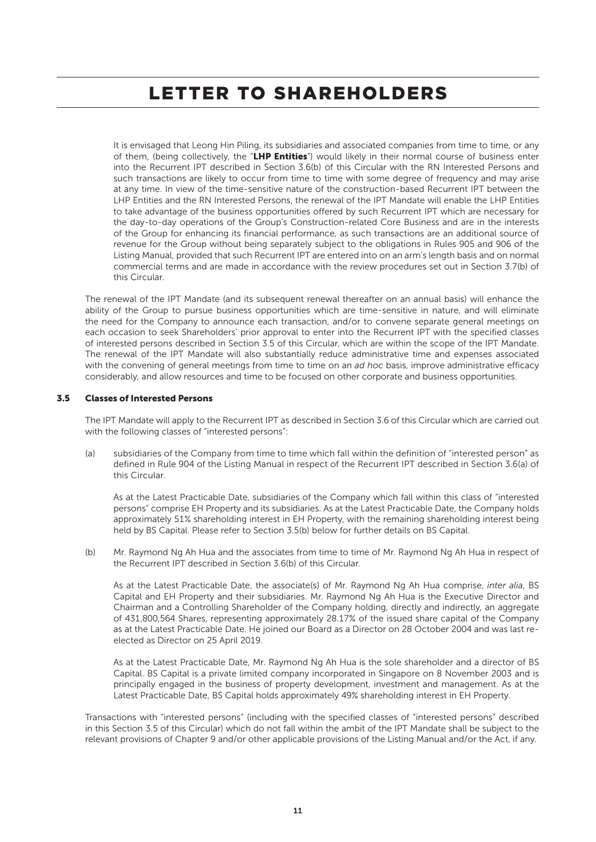It is envisaged that Leong Hin Piling, its subsidiaries and associated companies from time to time, or any of them, (being collectively, the "LHP Entities") would likely in their normal course of business enter into the Recurrent IPT described in Section 3.6(b) of this Circular with the RN Interested Persons and such transactions are likely to occur from time to time with some degree of frequency and may arise at any time. In view of the time-sensitive nature of the construction-based Recurrent IPT between the LHP Entities and the RN Interested Persons, the renewal of the IPT Mandate will enable the LHP Entities to take advantage of the business opportunities offered by such Recurrent IPT which are necessary for the day-to-day operations of the Group's Construction-related Core Business and are in the interests of the Group for enhancing its financial performance, as such transactions are an additional source of revenue for the Group without being separately subject to the obligations in Rules 905 and 906 of the Listing Manual, provided that such Recurrent IPT are entered into on an arm's length basis and on normal commercial terms and are made in accordance with the review procedures set out in Section 3.7(b) of this Circular.

The renewal of the IPT Mandate (and its subsequent renewal thereafter on an annual basis) will enhance the ability of the Group to pursue business opportunities which are time-sensitive in nature, and will eliminate the need for the Company to announce each transaction, and/or to convene separate general meetings on each occasion to seek Shareholders' prior approval to enter into the Recurrent IPT with the specified classes of interested persons described in Section 3.5 of this Circular, which are within the scope of the IPT Mandate. The renewal of the IPT Mandate will also substantially reduce administrative time and expenses associated with the convening of general meetings from time to time on an *ad hoc* basis, improve administrative efficacy considerably, and allow resources and time to be focused on other corporate and business opportunities.

### 3.5 Classes of Interested Persons

The IPT Mandate will apply to the Recurrent IPT as described in Section 3.6 of this Circular which are carried out with the following classes of "interested persons":

(a) subsidiaries of the Company from time to time which fall within the definition of "interested person" as defined in Rule 904 of the Listing Manual in respect of the Recurrent IPT described in Section 3.6(a) of this Circular.

As at the Latest Practicable Date, subsidiaries of the Company which fall within this class of "interested persons" comprise EH Property and its subsidiaries. As at the Latest Practicable Date, the Company holds approximately 51% shareholding interest in EH Property, with the remaining shareholding interest being held by BS Capital. Please refer to Section 3.5(b) below for further details on BS Capital.

(b) Mr. Raymond Ng Ah Hua and the associates from time to time of Mr. Raymond Ng Ah Hua in respect of the Recurrent IPT described in Section 3.6(b) of this Circular.

As at the Latest Practicable Date, the associate(s) of Mr. Raymond Ng Ah Hua comprise, *inter alia*, BS Capital and EH Property and their subsidiaries. Mr. Raymond Ng Ah Hua is the Executive Director and Chairman and a Controlling Shareholder of the Company holding, directly and indirectly, an aggregate of 431,800,564 Shares, representing approximately 28.17% of the issued share capital of the Company as at the Latest Practicable Date. He joined our Board as a Director on 28 October 2004 and was last reelected as Director on 25 April 2019.

As at the Latest Practicable Date, Mr. Raymond Ng Ah Hua is the sole shareholder and a director of BS Capital. BS Capital is a private limited company incorporated in Singapore on 8 November 2003 and is principally engaged in the business of property development, investment and management. As at the Latest Practicable Date, BS Capital holds approximately 49% shareholding interest in EH Property.

Transactions with "interested persons" (including with the specified classes of "interested persons" described in this Section 3.5 of this Circular) which do not fall within the ambit of the IPT Mandate shall be subject to the relevant provisions of Chapter 9 and/or other applicable provisions of the Listing Manual and/or the Act, if any.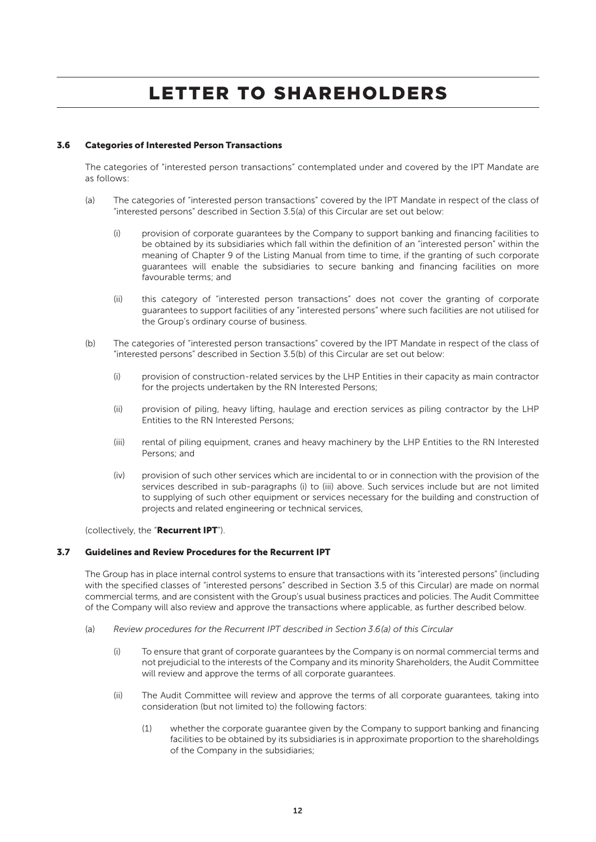### 3.6 Categories of Interested Person Transactions

The categories of "interested person transactions" contemplated under and covered by the IPT Mandate are as follows:

- (a) The categories of "interested person transactions" covered by the IPT Mandate in respect of the class of "interested persons" described in Section 3.5(a) of this Circular are set out below:
	- (i) provision of corporate guarantees by the Company to support banking and financing facilities to be obtained by its subsidiaries which fall within the definition of an "interested person" within the meaning of Chapter 9 of the Listing Manual from time to time, if the granting of such corporate guarantees will enable the subsidiaries to secure banking and financing facilities on more favourable terms; and
	- (ii) this category of "interested person transactions" does not cover the granting of corporate guarantees to support facilities of any "interested persons" where such facilities are not utilised for the Group's ordinary course of business.
- (b) The categories of "interested person transactions" covered by the IPT Mandate in respect of the class of "interested persons" described in Section 3.5(b) of this Circular are set out below:
	- (i) provision of construction-related services by the LHP Entities in their capacity as main contractor for the projects undertaken by the RN Interested Persons;
	- (ii) provision of piling, heavy lifting, haulage and erection services as piling contractor by the LHP Entities to the RN Interested Persons;
	- (iii) rental of piling equipment, cranes and heavy machinery by the LHP Entities to the RN Interested Persons; and
	- (iv) provision of such other services which are incidental to or in connection with the provision of the services described in sub-paragraphs (i) to (iii) above. Such services include but are not limited to supplying of such other equipment or services necessary for the building and construction of projects and related engineering or technical services,

(collectively, the "Recurrent IPT").

### 3.7 Guidelines and Review Procedures for the Recurrent IPT

The Group has in place internal control systems to ensure that transactions with its "interested persons" (including with the specified classes of "interested persons" described in Section 3.5 of this Circular) are made on normal commercial terms, and are consistent with the Group's usual business practices and policies. The Audit Committee of the Company will also review and approve the transactions where applicable, as further described below.

- (a) *Review procedures for the Recurrent IPT described in Section 3.6(a) of this Circular*
	- (i) To ensure that grant of corporate guarantees by the Company is on normal commercial terms and not prejudicial to the interests of the Company and its minority Shareholders, the Audit Committee will review and approve the terms of all corporate guarantees.
	- (ii) The Audit Committee will review and approve the terms of all corporate guarantees, taking into consideration (but not limited to) the following factors:
		- (1) whether the corporate guarantee given by the Company to support banking and financing facilities to be obtained by its subsidiaries is in approximate proportion to the shareholdings of the Company in the subsidiaries;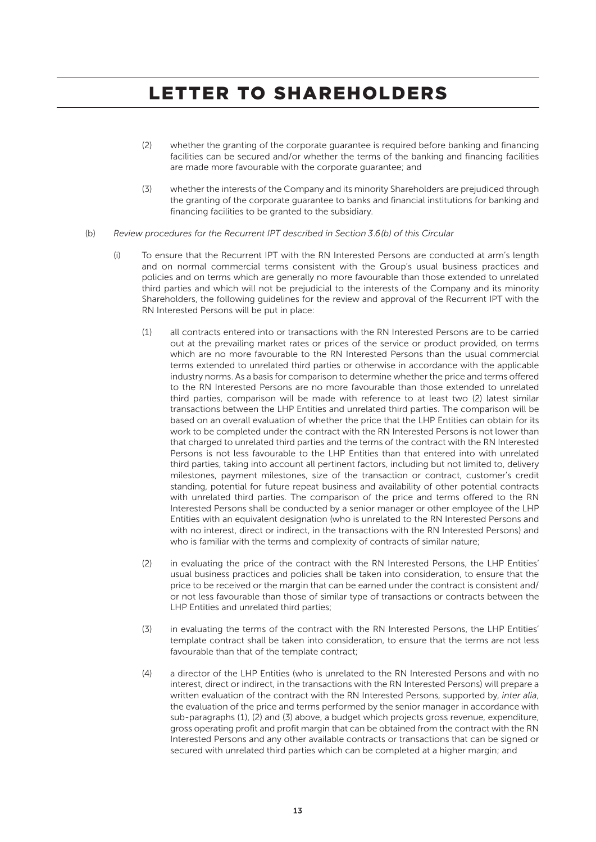- (2) whether the granting of the corporate guarantee is required before banking and financing facilities can be secured and/or whether the terms of the banking and financing facilities are made more favourable with the corporate guarantee; and
- (3) whether the interests of the Company and its minority Shareholders are prejudiced through the granting of the corporate guarantee to banks and financial institutions for banking and financing facilities to be granted to the subsidiary.
- (b) *Review procedures for the Recurrent IPT described in Section 3.6(b) of this Circular*
	- (i) To ensure that the Recurrent IPT with the RN Interested Persons are conducted at arm's length and on normal commercial terms consistent with the Group's usual business practices and policies and on terms which are generally no more favourable than those extended to unrelated third parties and which will not be prejudicial to the interests of the Company and its minority Shareholders, the following guidelines for the review and approval of the Recurrent IPT with the RN Interested Persons will be put in place:
		- (1) all contracts entered into or transactions with the RN Interested Persons are to be carried out at the prevailing market rates or prices of the service or product provided, on terms which are no more favourable to the RN Interested Persons than the usual commercial terms extended to unrelated third parties or otherwise in accordance with the applicable industry norms. As a basis for comparison to determine whether the price and terms offered to the RN Interested Persons are no more favourable than those extended to unrelated third parties, comparison will be made with reference to at least two (2) latest similar transactions between the LHP Entities and unrelated third parties. The comparison will be based on an overall evaluation of whether the price that the LHP Entities can obtain for its work to be completed under the contract with the RN Interested Persons is not lower than that charged to unrelated third parties and the terms of the contract with the RN Interested Persons is not less favourable to the LHP Entities than that entered into with unrelated third parties, taking into account all pertinent factors, including but not limited to, delivery milestones, payment milestones, size of the transaction or contract, customer's credit standing, potential for future repeat business and availability of other potential contracts with unrelated third parties. The comparison of the price and terms offered to the RN Interested Persons shall be conducted by a senior manager or other employee of the LHP Entities with an equivalent designation (who is unrelated to the RN Interested Persons and with no interest, direct or indirect, in the transactions with the RN Interested Persons) and who is familiar with the terms and complexity of contracts of similar nature;
		- (2) in evaluating the price of the contract with the RN Interested Persons, the LHP Entities' usual business practices and policies shall be taken into consideration, to ensure that the price to be received or the margin that can be earned under the contract is consistent and/ or not less favourable than those of similar type of transactions or contracts between the LHP Entities and unrelated third parties;
		- (3) in evaluating the terms of the contract with the RN Interested Persons, the LHP Entities' template contract shall be taken into consideration, to ensure that the terms are not less favourable than that of the template contract;
		- (4) a director of the LHP Entities (who is unrelated to the RN Interested Persons and with no interest, direct or indirect, in the transactions with the RN Interested Persons) will prepare a written evaluation of the contract with the RN Interested Persons, supported by, *inter alia*, the evaluation of the price and terms performed by the senior manager in accordance with sub-paragraphs (1), (2) and (3) above, a budget which projects gross revenue, expenditure, gross operating profit and profit margin that can be obtained from the contract with the RN Interested Persons and any other available contracts or transactions that can be signed or secured with unrelated third parties which can be completed at a higher margin; and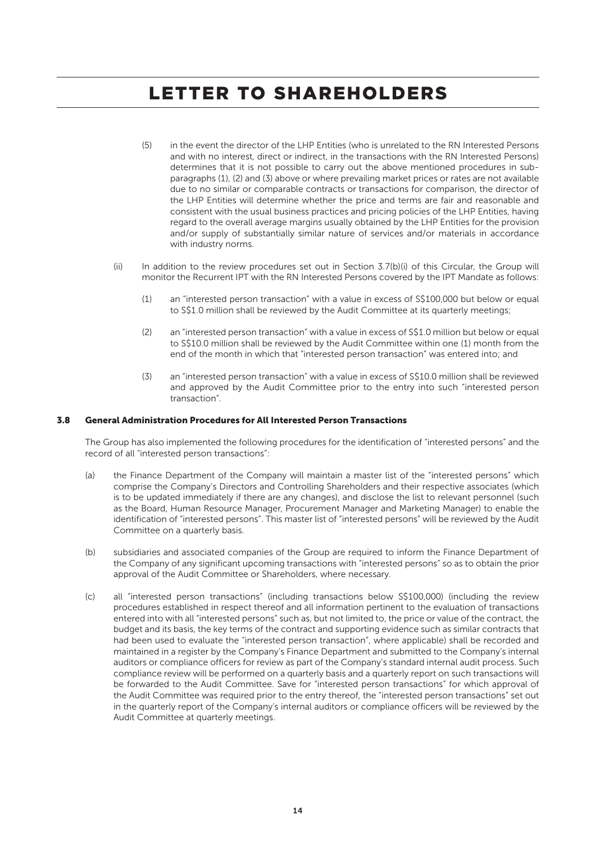- (5) in the event the director of the LHP Entities (who is unrelated to the RN Interested Persons and with no interest, direct or indirect, in the transactions with the RN Interested Persons) determines that it is not possible to carry out the above mentioned procedures in subparagraphs (1), (2) and (3) above or where prevailing market prices or rates are not available due to no similar or comparable contracts or transactions for comparison, the director of the LHP Entities will determine whether the price and terms are fair and reasonable and consistent with the usual business practices and pricing policies of the LHP Entities, having regard to the overall average margins usually obtained by the LHP Entities for the provision and/or supply of substantially similar nature of services and/or materials in accordance with industry norms.
- (ii) In addition to the review procedures set out in Section 3.7(b)(i) of this Circular, the Group will monitor the Recurrent IPT with the RN Interested Persons covered by the IPT Mandate as follows:
	- (1) an "interested person transaction" with a value in excess of S\$100,000 but below or equal to S\$1.0 million shall be reviewed by the Audit Committee at its quarterly meetings;
	- (2) an "interested person transaction" with a value in excess of S\$1.0 million but below or equal to S\$10.0 million shall be reviewed by the Audit Committee within one (1) month from the end of the month in which that "interested person transaction" was entered into; and
	- (3) an "interested person transaction" with a value in excess of S\$10.0 million shall be reviewed and approved by the Audit Committee prior to the entry into such "interested person transaction".

#### 3.8 General Administration Procedures for All Interested Person Transactions

The Group has also implemented the following procedures for the identification of "interested persons" and the record of all "interested person transactions":

- (a) the Finance Department of the Company will maintain a master list of the "interested persons" which comprise the Company's Directors and Controlling Shareholders and their respective associates (which is to be updated immediately if there are any changes), and disclose the list to relevant personnel (such as the Board, Human Resource Manager, Procurement Manager and Marketing Manager) to enable the identification of "interested persons". This master list of "interested persons" will be reviewed by the Audit Committee on a quarterly basis.
- (b) subsidiaries and associated companies of the Group are required to inform the Finance Department of the Company of any significant upcoming transactions with "interested persons" so as to obtain the prior approval of the Audit Committee or Shareholders, where necessary.
- (c) all "interested person transactions" (including transactions below S\$100,000) (including the review procedures established in respect thereof and all information pertinent to the evaluation of transactions entered into with all "interested persons" such as, but not limited to, the price or value of the contract, the budget and its basis, the key terms of the contract and supporting evidence such as similar contracts that had been used to evaluate the "interested person transaction", where applicable) shall be recorded and maintained in a register by the Company's Finance Department and submitted to the Company's internal auditors or compliance officers for review as part of the Company's standard internal audit process. Such compliance review will be performed on a quarterly basis and a quarterly report on such transactions will be forwarded to the Audit Committee. Save for "interested person transactions" for which approval of the Audit Committee was required prior to the entry thereof, the "interested person transactions" set out in the quarterly report of the Company's internal auditors or compliance officers will be reviewed by the Audit Committee at quarterly meetings.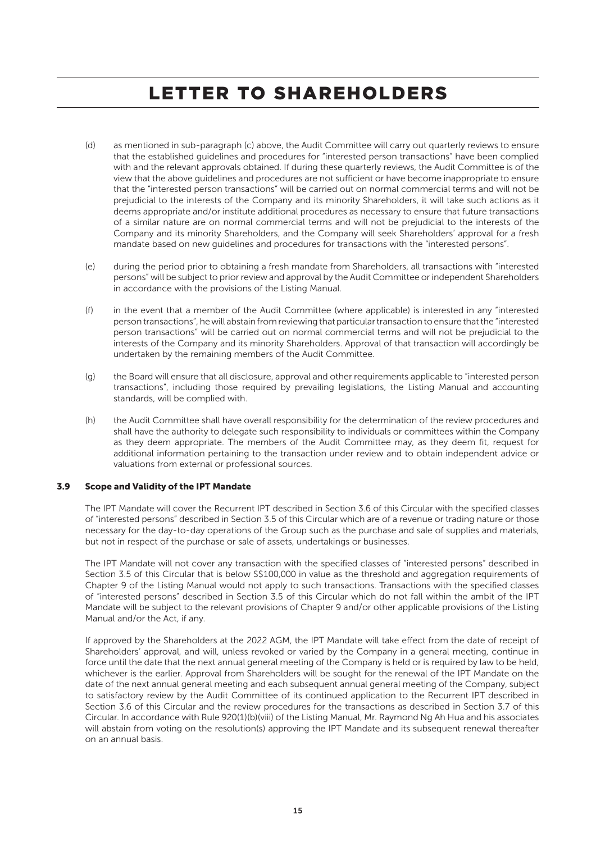- (d) as mentioned in sub-paragraph (c) above, the Audit Committee will carry out quarterly reviews to ensure that the established guidelines and procedures for "interested person transactions" have been complied with and the relevant approvals obtained. If during these quarterly reviews, the Audit Committee is of the view that the above guidelines and procedures are not sufficient or have become inappropriate to ensure that the "interested person transactions" will be carried out on normal commercial terms and will not be prejudicial to the interests of the Company and its minority Shareholders, it will take such actions as it deems appropriate and/or institute additional procedures as necessary to ensure that future transactions of a similar nature are on normal commercial terms and will not be prejudicial to the interests of the Company and its minority Shareholders, and the Company will seek Shareholders' approval for a fresh mandate based on new guidelines and procedures for transactions with the "interested persons".
- (e) during the period prior to obtaining a fresh mandate from Shareholders, all transactions with "interested persons" will be subject to prior review and approval by the Audit Committee or independent Shareholders in accordance with the provisions of the Listing Manual.
- (f) in the event that a member of the Audit Committee (where applicable) is interested in any "interested person transactions", he will abstain from reviewing that particular transaction to ensure that the "interested person transactions" will be carried out on normal commercial terms and will not be prejudicial to the interests of the Company and its minority Shareholders. Approval of that transaction will accordingly be undertaken by the remaining members of the Audit Committee.
- (g) the Board will ensure that all disclosure, approval and other requirements applicable to "interested person transactions", including those required by prevailing legislations, the Listing Manual and accounting standards, will be complied with.
- (h) the Audit Committee shall have overall responsibility for the determination of the review procedures and shall have the authority to delegate such responsibility to individuals or committees within the Company as they deem appropriate. The members of the Audit Committee may, as they deem fit, request for additional information pertaining to the transaction under review and to obtain independent advice or valuations from external or professional sources.

### 3.9 Scope and Validity of the IPT Mandate

The IPT Mandate will cover the Recurrent IPT described in Section 3.6 of this Circular with the specified classes of "interested persons" described in Section 3.5 of this Circular which are of a revenue or trading nature or those necessary for the day-to-day operations of the Group such as the purchase and sale of supplies and materials, but not in respect of the purchase or sale of assets, undertakings or businesses.

The IPT Mandate will not cover any transaction with the specified classes of "interested persons" described in Section 3.5 of this Circular that is below S\$100,000 in value as the threshold and aggregation requirements of Chapter 9 of the Listing Manual would not apply to such transactions. Transactions with the specified classes of "interested persons" described in Section 3.5 of this Circular which do not fall within the ambit of the IPT Mandate will be subject to the relevant provisions of Chapter 9 and/or other applicable provisions of the Listing Manual and/or the Act, if any.

If approved by the Shareholders at the 2022 AGM, the IPT Mandate will take effect from the date of receipt of Shareholders' approval, and will, unless revoked or varied by the Company in a general meeting, continue in force until the date that the next annual general meeting of the Company is held or is required by law to be held, whichever is the earlier. Approval from Shareholders will be sought for the renewal of the IPT Mandate on the date of the next annual general meeting and each subsequent annual general meeting of the Company, subject to satisfactory review by the Audit Committee of its continued application to the Recurrent IPT described in Section 3.6 of this Circular and the review procedures for the transactions as described in Section 3.7 of this Circular. In accordance with Rule 920(1)(b)(viii) of the Listing Manual, Mr. Raymond Ng Ah Hua and his associates will abstain from voting on the resolution(s) approving the IPT Mandate and its subsequent renewal thereafter on an annual basis.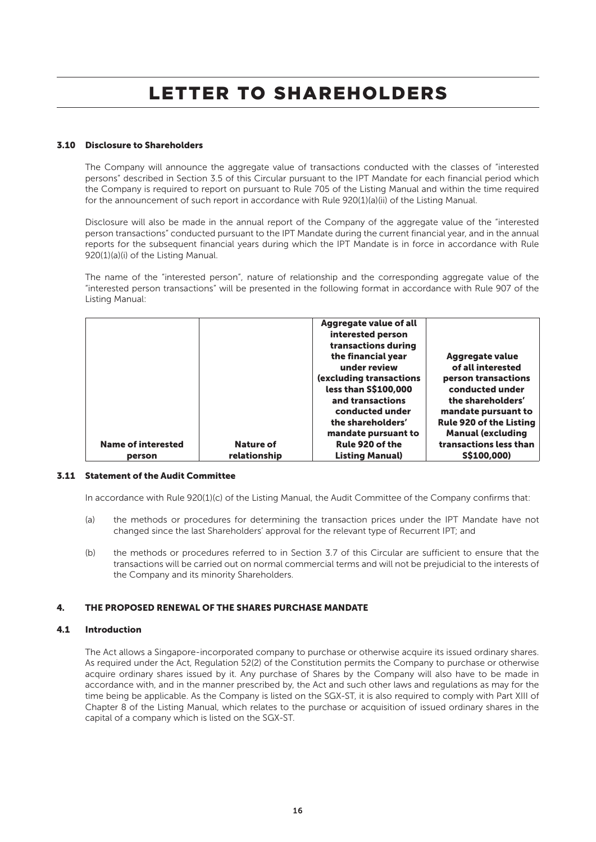### 3.10 Disclosure to Shareholders

The Company will announce the aggregate value of transactions conducted with the classes of "interested persons" described in Section 3.5 of this Circular pursuant to the IPT Mandate for each financial period which the Company is required to report on pursuant to Rule 705 of the Listing Manual and within the time required for the announcement of such report in accordance with Rule 920(1)(a)(ii) of the Listing Manual.

Disclosure will also be made in the annual report of the Company of the aggregate value of the "interested person transactions" conducted pursuant to the IPT Mandate during the current financial year, and in the annual reports for the subsequent financial years during which the IPT Mandate is in force in accordance with Rule 920(1)(a)(i) of the Listing Manual.

The name of the "interested person", nature of relationship and the corresponding aggregate value of the "interested person transactions" will be presented in the following format in accordance with Rule 907 of the Listing Manual:

| the shareholders'<br>mandate pursuant to<br>Rule 920 of the<br><b>Name of interested</b><br>Nature of | less than S\$100,000<br>conducted under<br>and transactions<br>the shareholders'<br>conducted under<br>mandate pursuant to<br><b>Rule 920 of the Listing</b><br><b>Manual (excluding</b><br>transactions less than |
|-------------------------------------------------------------------------------------------------------|--------------------------------------------------------------------------------------------------------------------------------------------------------------------------------------------------------------------|
| <b>Listing Manual)</b><br>relationship<br>person                                                      | S\$100,000)                                                                                                                                                                                                        |

### 3.11 Statement of the Audit Committee

In accordance with Rule 920(1)(c) of the Listing Manual, the Audit Committee of the Company confirms that:

- (a) the methods or procedures for determining the transaction prices under the IPT Mandate have not changed since the last Shareholders' approval for the relevant type of Recurrent IPT; and
- (b) the methods or procedures referred to in Section 3.7 of this Circular are sufficient to ensure that the transactions will be carried out on normal commercial terms and will not be prejudicial to the interests of the Company and its minority Shareholders.

### 4. THE PROPOSED RENEWAL OF THE SHARES PURCHASE MANDATE

### 4.1 Introduction

The Act allows a Singapore-incorporated company to purchase or otherwise acquire its issued ordinary shares. As required under the Act, Regulation 52(2) of the Constitution permits the Company to purchase or otherwise acquire ordinary shares issued by it. Any purchase of Shares by the Company will also have to be made in accordance with, and in the manner prescribed by, the Act and such other laws and regulations as may for the time being be applicable. As the Company is listed on the SGX-ST, it is also required to comply with Part XIII of Chapter 8 of the Listing Manual, which relates to the purchase or acquisition of issued ordinary shares in the capital of a company which is listed on the SGX-ST.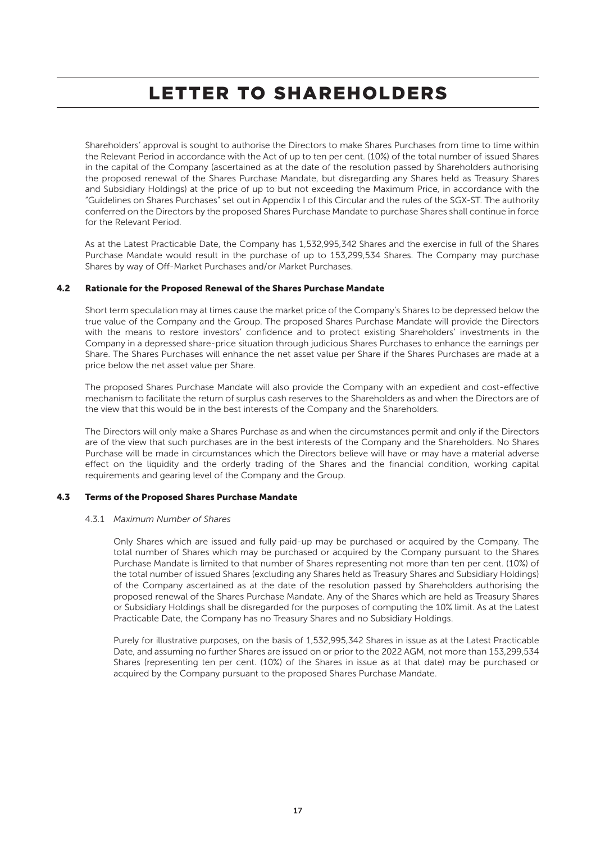Shareholders' approval is sought to authorise the Directors to make Shares Purchases from time to time within the Relevant Period in accordance with the Act of up to ten per cent. (10%) of the total number of issued Shares in the capital of the Company (ascertained as at the date of the resolution passed by Shareholders authorising the proposed renewal of the Shares Purchase Mandate, but disregarding any Shares held as Treasury Shares and Subsidiary Holdings) at the price of up to but not exceeding the Maximum Price, in accordance with the "Guidelines on Shares Purchases" set out in Appendix I of this Circular and the rules of the SGX-ST. The authority conferred on the Directors by the proposed Shares Purchase Mandate to purchase Shares shall continue in force for the Relevant Period.

As at the Latest Practicable Date, the Company has 1,532,995,342 Shares and the exercise in full of the Shares Purchase Mandate would result in the purchase of up to 153,299,534 Shares. The Company may purchase Shares by way of Off-Market Purchases and/or Market Purchases.

### 4.2 Rationale for the Proposed Renewal of the Shares Purchase Mandate

Short term speculation may at times cause the market price of the Company's Shares to be depressed below the true value of the Company and the Group. The proposed Shares Purchase Mandate will provide the Directors with the means to restore investors' confidence and to protect existing Shareholders' investments in the Company in a depressed share-price situation through judicious Shares Purchases to enhance the earnings per Share. The Shares Purchases will enhance the net asset value per Share if the Shares Purchases are made at a price below the net asset value per Share.

The proposed Shares Purchase Mandate will also provide the Company with an expedient and cost-effective mechanism to facilitate the return of surplus cash reserves to the Shareholders as and when the Directors are of the view that this would be in the best interests of the Company and the Shareholders.

The Directors will only make a Shares Purchase as and when the circumstances permit and only if the Directors are of the view that such purchases are in the best interests of the Company and the Shareholders. No Shares Purchase will be made in circumstances which the Directors believe will have or may have a material adverse effect on the liquidity and the orderly trading of the Shares and the financial condition, working capital requirements and gearing level of the Company and the Group.

### 4.3 Terms of the Proposed Shares Purchase Mandate

### 4.3.1 *Maximum Number of Shares*

Only Shares which are issued and fully paid-up may be purchased or acquired by the Company. The total number of Shares which may be purchased or acquired by the Company pursuant to the Shares Purchase Mandate is limited to that number of Shares representing not more than ten per cent. (10%) of the total number of issued Shares (excluding any Shares held as Treasury Shares and Subsidiary Holdings) of the Company ascertained as at the date of the resolution passed by Shareholders authorising the proposed renewal of the Shares Purchase Mandate. Any of the Shares which are held as Treasury Shares or Subsidiary Holdings shall be disregarded for the purposes of computing the 10% limit. As at the Latest Practicable Date, the Company has no Treasury Shares and no Subsidiary Holdings.

Purely for illustrative purposes, on the basis of 1,532,995,342 Shares in issue as at the Latest Practicable Date, and assuming no further Shares are issued on or prior to the 2022 AGM, not more than 153,299,534 Shares (representing ten per cent. (10%) of the Shares in issue as at that date) may be purchased or acquired by the Company pursuant to the proposed Shares Purchase Mandate.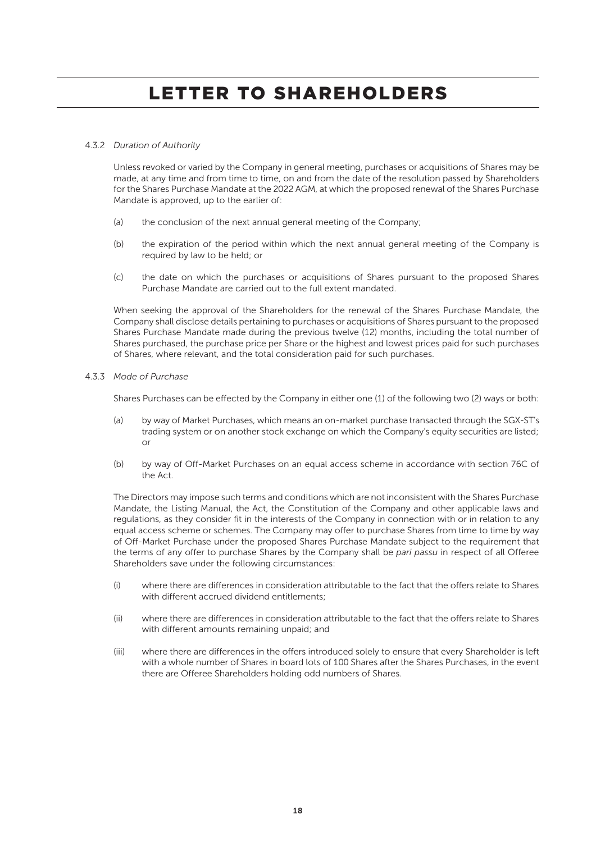### 4.3.2 *Duration of Authority*

Unless revoked or varied by the Company in general meeting, purchases or acquisitions of Shares may be made, at any time and from time to time, on and from the date of the resolution passed by Shareholders for the Shares Purchase Mandate at the 2022 AGM, at which the proposed renewal of the Shares Purchase Mandate is approved, up to the earlier of:

- (a) the conclusion of the next annual general meeting of the Company;
- (b) the expiration of the period within which the next annual general meeting of the Company is required by law to be held; or
- (c) the date on which the purchases or acquisitions of Shares pursuant to the proposed Shares Purchase Mandate are carried out to the full extent mandated.

When seeking the approval of the Shareholders for the renewal of the Shares Purchase Mandate, the Company shall disclose details pertaining to purchases or acquisitions of Shares pursuant to the proposed Shares Purchase Mandate made during the previous twelve (12) months, including the total number of Shares purchased, the purchase price per Share or the highest and lowest prices paid for such purchases of Shares, where relevant, and the total consideration paid for such purchases.

### 4.3.3 *Mode of Purchase*

Shares Purchases can be effected by the Company in either one (1) of the following two (2) ways or both:

- (a) by way of Market Purchases, which means an on-market purchase transacted through the SGX-ST's trading system or on another stock exchange on which the Company's equity securities are listed; or
- (b) by way of Off-Market Purchases on an equal access scheme in accordance with section 76C of the Act.

The Directors may impose such terms and conditions which are not inconsistent with the Shares Purchase Mandate, the Listing Manual, the Act, the Constitution of the Company and other applicable laws and regulations, as they consider fit in the interests of the Company in connection with or in relation to any equal access scheme or schemes. The Company may offer to purchase Shares from time to time by way of Off-Market Purchase under the proposed Shares Purchase Mandate subject to the requirement that the terms of any offer to purchase Shares by the Company shall be *pari passu* in respect of all Offeree Shareholders save under the following circumstances:

- (i) where there are differences in consideration attributable to the fact that the offers relate to Shares with different accrued dividend entitlements;
- (ii) where there are differences in consideration attributable to the fact that the offers relate to Shares with different amounts remaining unpaid; and
- (iii) where there are differences in the offers introduced solely to ensure that every Shareholder is left with a whole number of Shares in board lots of 100 Shares after the Shares Purchases, in the event there are Offeree Shareholders holding odd numbers of Shares.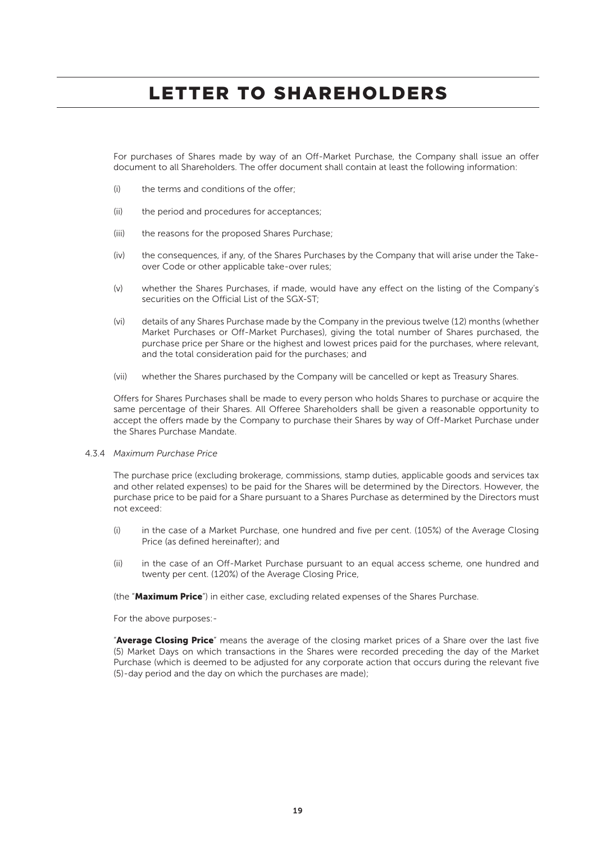For purchases of Shares made by way of an Off-Market Purchase, the Company shall issue an offer document to all Shareholders. The offer document shall contain at least the following information:

- (i) the terms and conditions of the offer;
- (ii) the period and procedures for acceptances;
- (iii) the reasons for the proposed Shares Purchase;
- (iv) the consequences, if any, of the Shares Purchases by the Company that will arise under the Takeover Code or other applicable take-over rules;
- (v) whether the Shares Purchases, if made, would have any effect on the listing of the Company's securities on the Official List of the SGX-ST;
- (vi) details of any Shares Purchase made by the Company in the previous twelve (12) months (whether Market Purchases or Off-Market Purchases), giving the total number of Shares purchased, the purchase price per Share or the highest and lowest prices paid for the purchases, where relevant, and the total consideration paid for the purchases; and
- (vii) whether the Shares purchased by the Company will be cancelled or kept as Treasury Shares.

Offers for Shares Purchases shall be made to every person who holds Shares to purchase or acquire the same percentage of their Shares. All Offeree Shareholders shall be given a reasonable opportunity to accept the offers made by the Company to purchase their Shares by way of Off-Market Purchase under the Shares Purchase Mandate.

### 4.3.4 *Maximum Purchase Price*

The purchase price (excluding brokerage, commissions, stamp duties, applicable goods and services tax and other related expenses) to be paid for the Shares will be determined by the Directors. However, the purchase price to be paid for a Share pursuant to a Shares Purchase as determined by the Directors must not exceed:

- (i) in the case of a Market Purchase, one hundred and five per cent. (105%) of the Average Closing Price (as defined hereinafter); and
- (ii) in the case of an Off-Market Purchase pursuant to an equal access scheme, one hundred and twenty per cent. (120%) of the Average Closing Price,

(the "Maximum Price") in either case, excluding related expenses of the Shares Purchase.

For the above purposes:-

"Average Closing Price" means the average of the closing market prices of a Share over the last five (5) Market Days on which transactions in the Shares were recorded preceding the day of the Market Purchase (which is deemed to be adjusted for any corporate action that occurs during the relevant five (5)-day period and the day on which the purchases are made);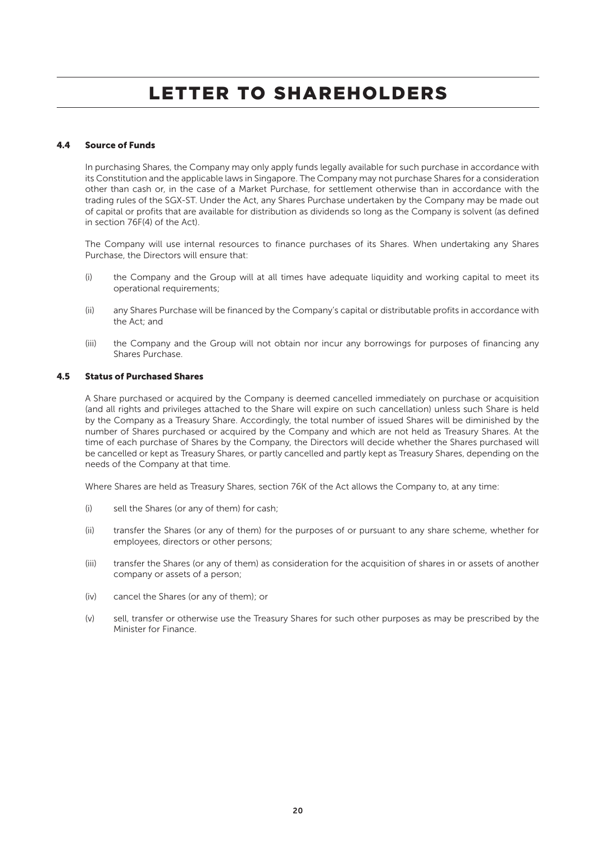### 4.4 Source of Funds

In purchasing Shares, the Company may only apply funds legally available for such purchase in accordance with its Constitution and the applicable laws in Singapore. The Company may not purchase Shares for a consideration other than cash or, in the case of a Market Purchase, for settlement otherwise than in accordance with the trading rules of the SGX-ST. Under the Act, any Shares Purchase undertaken by the Company may be made out of capital or profits that are available for distribution as dividends so long as the Company is solvent (as defined in section 76F(4) of the Act).

The Company will use internal resources to finance purchases of its Shares. When undertaking any Shares Purchase, the Directors will ensure that:

- (i) the Company and the Group will at all times have adequate liquidity and working capital to meet its operational requirements;
- (ii) any Shares Purchase will be financed by the Company's capital or distributable profits in accordance with the Act; and
- (iii) the Company and the Group will not obtain nor incur any borrowings for purposes of financing any Shares Purchase.

### 4.5 Status of Purchased Shares

A Share purchased or acquired by the Company is deemed cancelled immediately on purchase or acquisition (and all rights and privileges attached to the Share will expire on such cancellation) unless such Share is held by the Company as a Treasury Share. Accordingly, the total number of issued Shares will be diminished by the number of Shares purchased or acquired by the Company and which are not held as Treasury Shares. At the time of each purchase of Shares by the Company, the Directors will decide whether the Shares purchased will be cancelled or kept as Treasury Shares, or partly cancelled and partly kept as Treasury Shares, depending on the needs of the Company at that time.

Where Shares are held as Treasury Shares, section 76K of the Act allows the Company to, at any time:

- (i) sell the Shares (or any of them) for cash;
- (ii) transfer the Shares (or any of them) for the purposes of or pursuant to any share scheme, whether for employees, directors or other persons;
- (iii) transfer the Shares (or any of them) as consideration for the acquisition of shares in or assets of another company or assets of a person;
- (iv) cancel the Shares (or any of them); or
- (v) sell, transfer or otherwise use the Treasury Shares for such other purposes as may be prescribed by the Minister for Finance.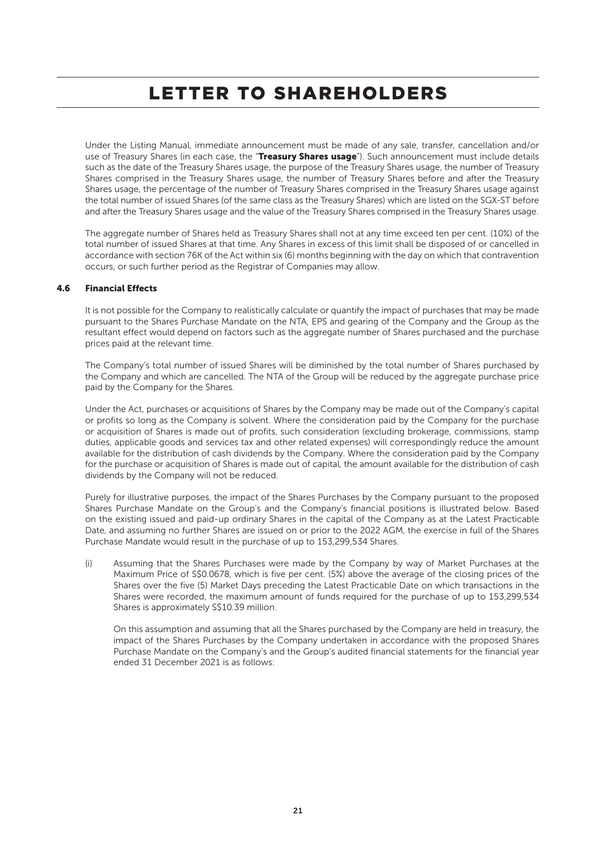Under the Listing Manual, immediate announcement must be made of any sale, transfer, cancellation and/or use of Treasury Shares (in each case, the "Treasury Shares usage"). Such announcement must include details such as the date of the Treasury Shares usage, the purpose of the Treasury Shares usage, the number of Treasury Shares comprised in the Treasury Shares usage, the number of Treasury Shares before and after the Treasury Shares usage, the percentage of the number of Treasury Shares comprised in the Treasury Shares usage against the total number of issued Shares (of the same class as the Treasury Shares) which are listed on the SGX-ST before and after the Treasury Shares usage and the value of the Treasury Shares comprised in the Treasury Shares usage.

The aggregate number of Shares held as Treasury Shares shall not at any time exceed ten per cent. (10%) of the total number of issued Shares at that time. Any Shares in excess of this limit shall be disposed of or cancelled in accordance with section 76K of the Act within six (6) months beginning with the day on which that contravention occurs, or such further period as the Registrar of Companies may allow.

### 4.6 Financial Effects

It is not possible for the Company to realistically calculate or quantify the impact of purchases that may be made pursuant to the Shares Purchase Mandate on the NTA, EPS and gearing of the Company and the Group as the resultant effect would depend on factors such as the aggregate number of Shares purchased and the purchase prices paid at the relevant time.

The Company's total number of issued Shares will be diminished by the total number of Shares purchased by the Company and which are cancelled. The NTA of the Group will be reduced by the aggregate purchase price paid by the Company for the Shares.

Under the Act, purchases or acquisitions of Shares by the Company may be made out of the Company's capital or profits so long as the Company is solvent. Where the consideration paid by the Company for the purchase or acquisition of Shares is made out of profits, such consideration (excluding brokerage, commissions, stamp duties, applicable goods and services tax and other related expenses) will correspondingly reduce the amount available for the distribution of cash dividends by the Company. Where the consideration paid by the Company for the purchase or acquisition of Shares is made out of capital, the amount available for the distribution of cash dividends by the Company will not be reduced.

Purely for illustrative purposes, the impact of the Shares Purchases by the Company pursuant to the proposed Shares Purchase Mandate on the Group's and the Company's financial positions is illustrated below. Based on the existing issued and paid-up ordinary Shares in the capital of the Company as at the Latest Practicable Date, and assuming no further Shares are issued on or prior to the 2022 AGM, the exercise in full of the Shares Purchase Mandate would result in the purchase of up to 153,299,534 Shares.

(i) Assuming that the Shares Purchases were made by the Company by way of Market Purchases at the Maximum Price of S\$0.0678, which is five per cent. (5%) above the average of the closing prices of the Shares over the five (5) Market Days preceding the Latest Practicable Date on which transactions in the Shares were recorded, the maximum amount of funds required for the purchase of up to 153,299,534 Shares is approximately S\$10.39 million.

On this assumption and assuming that all the Shares purchased by the Company are held in treasury, the impact of the Shares Purchases by the Company undertaken in accordance with the proposed Shares Purchase Mandate on the Company's and the Group's audited financial statements for the financial year ended 31 December 2021 is as follows: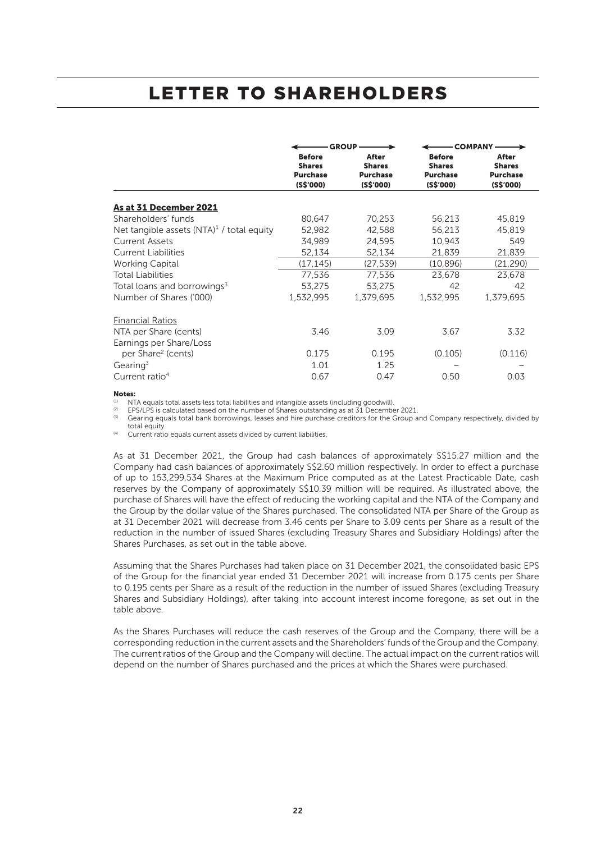|                                              |                                                                | - GROUP ——                                             |                                                                | – COMPANY ──→                                          |
|----------------------------------------------|----------------------------------------------------------------|--------------------------------------------------------|----------------------------------------------------------------|--------------------------------------------------------|
|                                              | <b>Before</b><br><b>Shares</b><br><b>Purchase</b><br>(S\$'000) | After<br><b>Shares</b><br><b>Purchase</b><br>(S\$'000) | <b>Before</b><br><b>Shares</b><br><b>Purchase</b><br>(S\$'000) | After<br><b>Shares</b><br><b>Purchase</b><br>(S\$'000) |
| As at 31 December 2021                       |                                                                |                                                        |                                                                |                                                        |
| Shareholders' funds                          | 80,647                                                         | 70,253                                                 | 56,213                                                         | 45,819                                                 |
| Net tangible assets $(NTA)^1$ / total equity | 52,982                                                         | 42,588                                                 | 56,213                                                         | 45,819                                                 |
| <b>Current Assets</b>                        | 34.989                                                         | 24,595                                                 | 10,943                                                         | 549                                                    |
| <b>Current Liabilities</b>                   | 52,134                                                         | 52,134                                                 | 21,839                                                         | 21,839                                                 |
| <b>Working Capital</b>                       | (17, 145)                                                      | (27, 539)                                              | (10, 896)                                                      | (21, 290)                                              |
| <b>Total Liabilities</b>                     | 77,536                                                         | 77,536                                                 | 23,678                                                         | 23,678                                                 |
| Total loans and borrowings <sup>3</sup>      | 53,275                                                         | 53,275                                                 | 42                                                             | 42                                                     |
| Number of Shares ('000)                      | 1,532,995                                                      | 1,379,695                                              | 1,532,995                                                      | 1,379,695                                              |
| <b>Financial Ratios</b>                      |                                                                |                                                        |                                                                |                                                        |
| NTA per Share (cents)                        | 3.46                                                           | 3.09                                                   | 3.67                                                           | 3.32                                                   |
| Earnings per Share/Loss                      |                                                                |                                                        |                                                                |                                                        |
| per Share <sup>2</sup> (cents)               | 0.175                                                          | 0.195                                                  | (0.105)                                                        | (0.116)                                                |
| Gearing <sup>3</sup>                         | 1.01                                                           | 1.25                                                   |                                                                |                                                        |
| Current ratio <sup>4</sup>                   | 0.67                                                           | 0.47                                                   | 0.50                                                           | 0.03                                                   |

Notes:

(1) NTA equals total assets less total liabilities and intangible assets (including goodwill).<br>(2) EDS (LDS is salgulated based on the number of Shares outstanding as at  $\frac{71}{2}$  Desember

(2) EPS/LPS is calculated based on the number of Shares outstanding as at 31 December 2021.

Gearing equals total bank borrowings, leases and hire purchase creditors for the Group and Company respectively, divided by total equity.

<sup>(4)</sup> Current ratio equals current assets divided by current liabilities.

As at 31 December 2021, the Group had cash balances of approximately S\$15.27 million and the Company had cash balances of approximately S\$2.60 million respectively. In order to effect a purchase of up to 153,299,534 Shares at the Maximum Price computed as at the Latest Practicable Date, cash reserves by the Company of approximately S\$10.39 million will be required. As illustrated above, the purchase of Shares will have the effect of reducing the working capital and the NTA of the Company and the Group by the dollar value of the Shares purchased. The consolidated NTA per Share of the Group as at 31 December 2021 will decrease from 3.46 cents per Share to 3.09 cents per Share as a result of the reduction in the number of issued Shares (excluding Treasury Shares and Subsidiary Holdings) after the Shares Purchases, as set out in the table above.

Assuming that the Shares Purchases had taken place on 31 December 2021, the consolidated basic EPS of the Group for the financial year ended 31 December 2021 will increase from 0.175 cents per Share to 0.195 cents per Share as a result of the reduction in the number of issued Shares (excluding Treasury Shares and Subsidiary Holdings), after taking into account interest income foregone, as set out in the table above.

As the Shares Purchases will reduce the cash reserves of the Group and the Company, there will be a corresponding reduction in the current assets and the Shareholders' funds of the Group and the Company. The current ratios of the Group and the Company will decline. The actual impact on the current ratios will depend on the number of Shares purchased and the prices at which the Shares were purchased.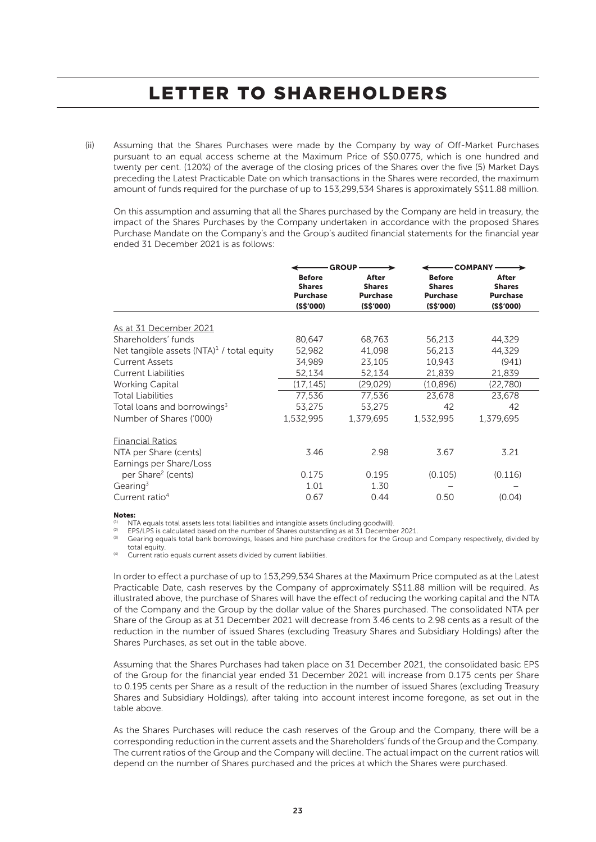(ii) Assuming that the Shares Purchases were made by the Company by way of Off-Market Purchases pursuant to an equal access scheme at the Maximum Price of S\$0.0775, which is one hundred and twenty per cent. (120%) of the average of the closing prices of the Shares over the five (5) Market Days preceding the Latest Practicable Date on which transactions in the Shares were recorded, the maximum amount of funds required for the purchase of up to 153,299,534 Shares is approximately S\$11.88 million.

On this assumption and assuming that all the Shares purchased by the Company are held in treasury, the impact of the Shares Purchases by the Company undertaken in accordance with the proposed Shares Purchase Mandate on the Company's and the Group's audited financial statements for the financial year ended 31 December 2021 is as follows:

|                                              |                                                                | - GROUP -                                              |                                                                | – COMPANY –                                            |
|----------------------------------------------|----------------------------------------------------------------|--------------------------------------------------------|----------------------------------------------------------------|--------------------------------------------------------|
|                                              | <b>Before</b><br><b>Shares</b><br><b>Purchase</b><br>(S\$'000) | After<br><b>Shares</b><br><b>Purchase</b><br>(S\$'000) | <b>Before</b><br><b>Shares</b><br><b>Purchase</b><br>(S\$'000) | After<br><b>Shares</b><br><b>Purchase</b><br>(S\$'000) |
| As at 31 December 2021                       |                                                                |                                                        |                                                                |                                                        |
| Shareholders' funds                          | 80,647                                                         | 68,763                                                 | 56,213                                                         | 44,329                                                 |
| Net tangible assets $(NTA)^1$ / total equity | 52,982                                                         | 41,098                                                 | 56,213                                                         | 44,329                                                 |
| <b>Current Assets</b>                        | 34.989                                                         | 23,105                                                 | 10,943                                                         | (941)                                                  |
| <b>Current Liabilities</b>                   | 52,134                                                         | 52,134                                                 | 21,839                                                         | 21,839                                                 |
| <b>Working Capital</b>                       | (17, 145)                                                      | (29, 029)                                              | (10, 896)                                                      | (22,780)                                               |
| <b>Total Liabilities</b>                     | 77,536                                                         | 77,536                                                 | 23,678                                                         | 23,678                                                 |
| Total loans and borrowings <sup>3</sup>      | 53.275                                                         | 53,275                                                 | 42                                                             | 42                                                     |
| Number of Shares ('000)                      | 1,532,995                                                      | 1,379,695                                              | 1,532,995                                                      | 1,379,695                                              |
| <b>Financial Ratios</b>                      |                                                                |                                                        |                                                                |                                                        |
| NTA per Share (cents)                        | 3.46                                                           | 2.98                                                   | 3.67                                                           | 3.21                                                   |
| Earnings per Share/Loss                      |                                                                |                                                        |                                                                |                                                        |
| per Share <sup>2</sup> (cents)               | 0.175                                                          | 0.195                                                  | (0.105)                                                        | (0.116)                                                |
| Gearing <sup>3</sup>                         | 1.01                                                           | 1.30                                                   |                                                                |                                                        |
| Current ratio <sup>4</sup>                   | 0.67                                                           | 0.44                                                   | 0.50                                                           | (0.04)                                                 |

Notes:

(1) NTA equals total assets less total liabilities and intangible assets (including goodwill).<br>(2) FBC (1 BC is acloudated based on the number of Charge outstanding so at 71 December

(2) EPS/LPS is calculated based on the number of Shares outstanding as at 31 December 2021.

(3) Gearing equals total bank borrowings, leases and hire purchase creditors for the Group and Company respectively, divided by total equity.

Current ratio equals current assets divided by current liabilities.

In order to effect a purchase of up to 153,299,534 Shares at the Maximum Price computed as at the Latest Practicable Date, cash reserves by the Company of approximately S\$11.88 million will be required. As illustrated above, the purchase of Shares will have the effect of reducing the working capital and the NTA of the Company and the Group by the dollar value of the Shares purchased. The consolidated NTA per Share of the Group as at 31 December 2021 will decrease from 3.46 cents to 2.98 cents as a result of the reduction in the number of issued Shares (excluding Treasury Shares and Subsidiary Holdings) after the Shares Purchases, as set out in the table above.

Assuming that the Shares Purchases had taken place on 31 December 2021, the consolidated basic EPS of the Group for the financial year ended 31 December 2021 will increase from 0.175 cents per Share to 0.195 cents per Share as a result of the reduction in the number of issued Shares (excluding Treasury Shares and Subsidiary Holdings), after taking into account interest income foregone, as set out in the table above.

As the Shares Purchases will reduce the cash reserves of the Group and the Company, there will be a corresponding reduction in the current assets and the Shareholders' funds of the Group and the Company. The current ratios of the Group and the Company will decline. The actual impact on the current ratios will depend on the number of Shares purchased and the prices at which the Shares were purchased.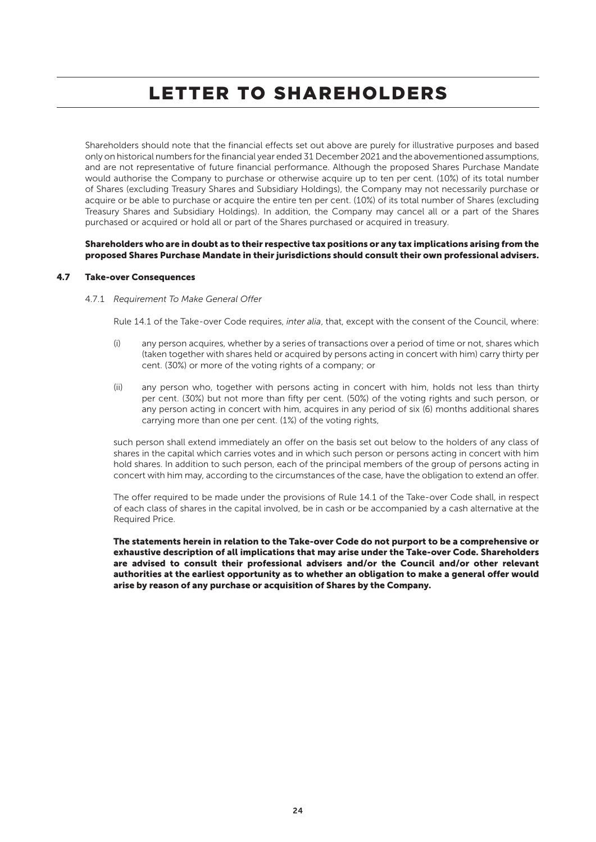Shareholders should note that the financial effects set out above are purely for illustrative purposes and based only on historical numbers for the financial year ended 31 December 2021 and the abovementioned assumptions, and are not representative of future financial performance. Although the proposed Shares Purchase Mandate would authorise the Company to purchase or otherwise acquire up to ten per cent. (10%) of its total number of Shares (excluding Treasury Shares and Subsidiary Holdings), the Company may not necessarily purchase or acquire or be able to purchase or acquire the entire ten per cent. (10%) of its total number of Shares (excluding Treasury Shares and Subsidiary Holdings). In addition, the Company may cancel all or a part of the Shares purchased or acquired or hold all or part of the Shares purchased or acquired in treasury.

### Shareholders who are in doubt as to their respective tax positions or any tax implications arising from the proposed Shares Purchase Mandate in their jurisdictions should consult their own professional advisers.

### 4.7 Take-over Consequences

#### 4.7.1 *Requirement To Make General Offer*

Rule 14.1 of the Take-over Code requires, *inter alia*, that, except with the consent of the Council, where:

- (i) any person acquires, whether by a series of transactions over a period of time or not, shares which (taken together with shares held or acquired by persons acting in concert with him) carry thirty per cent. (30%) or more of the voting rights of a company; or
- (ii) any person who, together with persons acting in concert with him, holds not less than thirty per cent. (30%) but not more than fifty per cent. (50%) of the voting rights and such person, or any person acting in concert with him, acquires in any period of six (6) months additional shares carrying more than one per cent. (1%) of the voting rights,

such person shall extend immediately an offer on the basis set out below to the holders of any class of shares in the capital which carries votes and in which such person or persons acting in concert with him hold shares. In addition to such person, each of the principal members of the group of persons acting in concert with him may, according to the circumstances of the case, have the obligation to extend an offer.

The offer required to be made under the provisions of Rule 14.1 of the Take-over Code shall, in respect of each class of shares in the capital involved, be in cash or be accompanied by a cash alternative at the Required Price.

The statements herein in relation to the Take-over Code do not purport to be a comprehensive or exhaustive description of all implications that may arise under the Take-over Code. Shareholders are advised to consult their professional advisers and/or the Council and/or other relevant authorities at the earliest opportunity as to whether an obligation to make a general offer would arise by reason of any purchase or acquisition of Shares by the Company.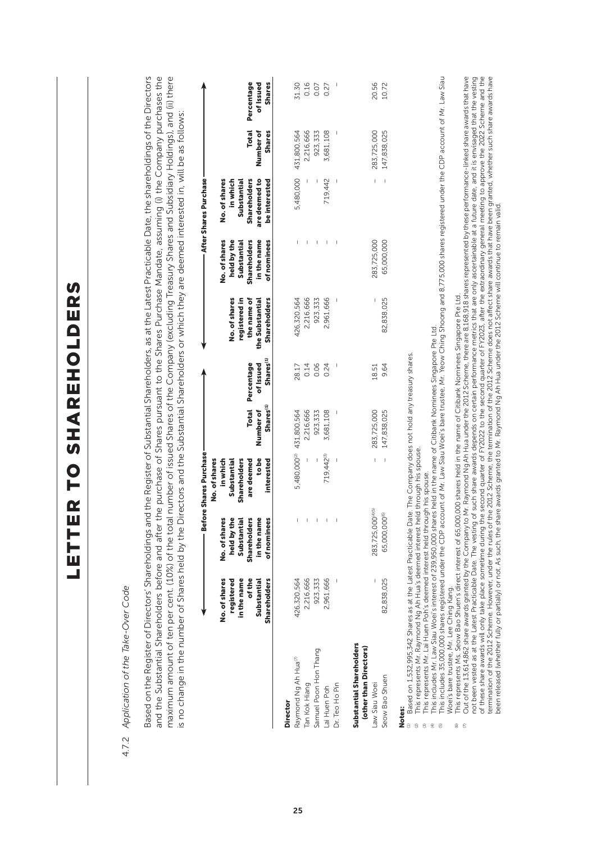| Based on the Register of Directors' Shareholdings and the Register of Substantial Shareholders, as at the Latest Practicable Date, the shareholdings of the Directors<br>and the Substantial Shareholders before and after the purchase of Shares pursuant to the Shares Purchase Mandate, assuming (i) the Company purchases the<br>maximum amount of ten per cent. (10%) of the total number of issued Shares of the Company (excluding Treasury Shares and Subsidiary Holdings), and (ii) there<br>is no change in the number of Shares held by the Directors and the Substantial Shareholders or which they are deemed interested in, will be as follows<br>4.7.2 Application of the Take-Over Code |                                                                                     |                                                                                           |                                                                                                                                       |                                                    |                                                  |                                                                                         |                                                                                                  |                                                                                                                            |                                     |                                          |
|---------------------------------------------------------------------------------------------------------------------------------------------------------------------------------------------------------------------------------------------------------------------------------------------------------------------------------------------------------------------------------------------------------------------------------------------------------------------------------------------------------------------------------------------------------------------------------------------------------------------------------------------------------------------------------------------------------|-------------------------------------------------------------------------------------|-------------------------------------------------------------------------------------------|---------------------------------------------------------------------------------------------------------------------------------------|----------------------------------------------------|--------------------------------------------------|-----------------------------------------------------------------------------------------|--------------------------------------------------------------------------------------------------|----------------------------------------------------------------------------------------------------------------------------|-------------------------------------|------------------------------------------|
|                                                                                                                                                                                                                                                                                                                                                                                                                                                                                                                                                                                                                                                                                                         | in the name<br>of the<br>Substantial<br>No. of shares<br>registered<br>Shareholders | No. of shares<br>held by the<br>Substantial<br>Shareholders<br>in the name<br>of nominees | <b>Before Shares Purchase</b><br>No. of shares<br><b>Shareholders</b><br>in which<br>Substantial<br>are deemed<br>to be<br>interested | Shares <sup>(1)</sup><br>Number of<br><b>Total</b> | Shares <sup>(1)</sup><br>Percentage<br>of Issued | No. of shares<br>registered in<br>the name of<br><b>Shareholders</b><br>the Substantial | No. of shares<br>held by the<br>Substantial<br><b>Shareholders</b><br>in the name<br>of nominees | After Shares Purchase<br>are deemed to<br>in which<br><b>Shareholders</b><br>be interested<br>No. of shares<br>Substantial | Total<br>Number of<br><b>Shares</b> | <b>Shares</b><br>Percentage<br>of Issued |
| Director                                                                                                                                                                                                                                                                                                                                                                                                                                                                                                                                                                                                                                                                                                |                                                                                     |                                                                                           |                                                                                                                                       |                                                    |                                                  |                                                                                         |                                                                                                  |                                                                                                                            |                                     |                                          |
| Raymond Ng Ah Hua <sup>m</sup>                                                                                                                                                                                                                                                                                                                                                                                                                                                                                                                                                                                                                                                                          | 426,320,564                                                                         |                                                                                           | 5,480,000 <sup>(2)</sup>                                                                                                              | 431,800,564                                        | 28.17                                            | 426,320,564                                                                             |                                                                                                  | 5,480,000                                                                                                                  | 431,800,564                         | 31.30                                    |
| Tan Kok Hiang                                                                                                                                                                                                                                                                                                                                                                                                                                                                                                                                                                                                                                                                                           | 2,216,666                                                                           |                                                                                           |                                                                                                                                       | 2,216,666                                          | 0.14                                             | 2,216,666                                                                               |                                                                                                  |                                                                                                                            | 2,216,666                           | 0.16                                     |
| Samuel Poon Hon Thang                                                                                                                                                                                                                                                                                                                                                                                                                                                                                                                                                                                                                                                                                   | 923,333                                                                             |                                                                                           |                                                                                                                                       | 923,333                                            | 0.06                                             | 923,333                                                                                 | $\overline{\phantom{a}}$                                                                         |                                                                                                                            | 923,333                             | 0.07                                     |
| Lai Huen Poh                                                                                                                                                                                                                                                                                                                                                                                                                                                                                                                                                                                                                                                                                            | 2,961,666                                                                           |                                                                                           | 719,442(3)                                                                                                                            | 3,681,108                                          | 0.24                                             | 2,961,666                                                                               | $\overline{\phantom{a}}$                                                                         | 719,442                                                                                                                    | 3,681,108                           | 0.27                                     |
| Dr. Teo Ho Pin                                                                                                                                                                                                                                                                                                                                                                                                                                                                                                                                                                                                                                                                                          |                                                                                     |                                                                                           |                                                                                                                                       |                                                    |                                                  |                                                                                         |                                                                                                  |                                                                                                                            |                                     |                                          |
| Substantial Shareholders<br>(other than Directors)<br>Seow Bao Shuen<br>Law Siau Woei                                                                                                                                                                                                                                                                                                                                                                                                                                                                                                                                                                                                                   | 82,838,025                                                                          | 283,725,000(4)(5)<br>@<br>65,000,000                                                      | $\,$ $\,$<br>L                                                                                                                        | 283,725,000<br>147,838,025                         | 9.64<br>18.51                                    | 82,838,025                                                                              | 65,000,000<br>283,725,000                                                                        | L<br>$\overline{\phantom{a}}$                                                                                              | 147,838,025<br>283,725,000          | 20.56<br>10.72                           |
| This includes 35,000,000 shares registered under the CDP account of Mr. Law Siau Woei's bare trustee, Mr. Yeow Ching Shoong and 8,775,000 shares registered under the CDP account of Mr. Law Siau<br>This includes Mr. Law Siau Woei's interest of 239,950,000 shares held in the name of Citibank Nominees Singapore Pte Ltd.<br>Based on 1,532,995,342 Shares as at the Latest Practicable Date. The Company does not hold any treasury shares.<br>This represents Mr. Raymond Ng Ah Hua's deemed interest held through his spouse<br>This represents Mr. Lai Huen Poh's deemed interest held through his spouse.<br>Notes:<br>$\odot$<br>а<br>$\Xi$<br>$\widehat{\Xi}$<br>$\overline{\mathfrak{S}}$  |                                                                                     |                                                                                           |                                                                                                                                       |                                                    |                                                  |                                                                                         |                                                                                                  |                                                                                                                            |                                     |                                          |
| Out of the 13,614,862 share awards granted by the Company to Mr. Raymond Ng Ah Hua under the 2012 Scheme, there are 8,168,918 shares represented by these performance-linked share awards that have<br>not been vested as at the Latest Practicable Date. The vesting of such share awards depends on certain performance metrics that are only ascertainable at a future date, and it is envisaged that the vesting<br>This represents Ms. Seow Bao Shuen's direct interest of 65,000,000 shares held in the name of Citibank Nominees Singapore Pte Ltd.<br>Woei's bare trustee, Mr. Lee Ching Kang.<br>$\mathbb S$<br>$\circledcirc$                                                                 |                                                                                     |                                                                                           |                                                                                                                                       |                                                    |                                                  |                                                                                         |                                                                                                  |                                                                                                                            |                                     |                                          |
| of these share awards will only take place sometime during the second quarter of F2022, after and the extraordinary general meeting to approve the 2022 Scheme and the<br>termination of the 2012 Scheme. However, under the rule                                                                                                                                                                                                                                                                                                                                                                                                                                                                       |                                                                                     |                                                                                           |                                                                                                                                       |                                                    |                                                  |                                                                                         |                                                                                                  |                                                                                                                            |                                     |                                          |

25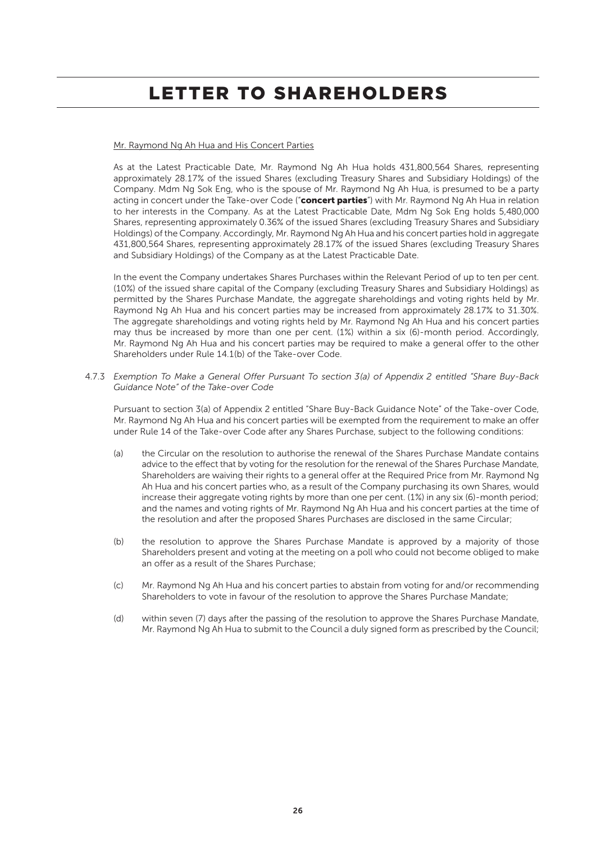### Mr. Raymond Ng Ah Hua and His Concert Parties

As at the Latest Practicable Date, Mr. Raymond Ng Ah Hua holds 431,800,564 Shares, representing approximately 28.17% of the issued Shares (excluding Treasury Shares and Subsidiary Holdings) of the Company. Mdm Ng Sok Eng, who is the spouse of Mr. Raymond Ng Ah Hua, is presumed to be a party acting in concert under the Take-over Code ("concert parties") with Mr. Raymond Ng Ah Hua in relation to her interests in the Company. As at the Latest Practicable Date, Mdm Ng Sok Eng holds 5,480,000 Shares, representing approximately 0.36% of the issued Shares (excluding Treasury Shares and Subsidiary Holdings) of the Company. Accordingly, Mr. Raymond Ng Ah Hua and his concert parties hold in aggregate 431,800,564 Shares, representing approximately 28.17% of the issued Shares (excluding Treasury Shares and Subsidiary Holdings) of the Company as at the Latest Practicable Date.

In the event the Company undertakes Shares Purchases within the Relevant Period of up to ten per cent. (10%) of the issued share capital of the Company (excluding Treasury Shares and Subsidiary Holdings) as permitted by the Shares Purchase Mandate, the aggregate shareholdings and voting rights held by Mr. Raymond Ng Ah Hua and his concert parties may be increased from approximately 28.17% to 31.30%. The aggregate shareholdings and voting rights held by Mr. Raymond Ng Ah Hua and his concert parties may thus be increased by more than one per cent. (1%) within a six (6)-month period. Accordingly, Mr. Raymond Ng Ah Hua and his concert parties may be required to make a general offer to the other Shareholders under Rule 14.1(b) of the Take-over Code.

4.7.3 *Exemption To Make a General Offer Pursuant To section 3(a) of Appendix 2 entitled "Share Buy-Back Guidance Note" of the Take-over Code* 

Pursuant to section 3(a) of Appendix 2 entitled "Share Buy-Back Guidance Note" of the Take-over Code, Mr. Raymond Ng Ah Hua and his concert parties will be exempted from the requirement to make an offer under Rule 14 of the Take-over Code after any Shares Purchase, subject to the following conditions:

- (a) the Circular on the resolution to authorise the renewal of the Shares Purchase Mandate contains advice to the effect that by voting for the resolution for the renewal of the Shares Purchase Mandate, Shareholders are waiving their rights to a general offer at the Required Price from Mr. Raymond Ng Ah Hua and his concert parties who, as a result of the Company purchasing its own Shares, would increase their aggregate voting rights by more than one per cent. (1%) in any six (6)-month period; and the names and voting rights of Mr. Raymond Ng Ah Hua and his concert parties at the time of the resolution and after the proposed Shares Purchases are disclosed in the same Circular;
- (b) the resolution to approve the Shares Purchase Mandate is approved by a majority of those Shareholders present and voting at the meeting on a poll who could not become obliged to make an offer as a result of the Shares Purchase;
- (c) Mr. Raymond Ng Ah Hua and his concert parties to abstain from voting for and/or recommending Shareholders to vote in favour of the resolution to approve the Shares Purchase Mandate;
- (d) within seven (7) days after the passing of the resolution to approve the Shares Purchase Mandate, Mr. Raymond Ng Ah Hua to submit to the Council a duly signed form as prescribed by the Council;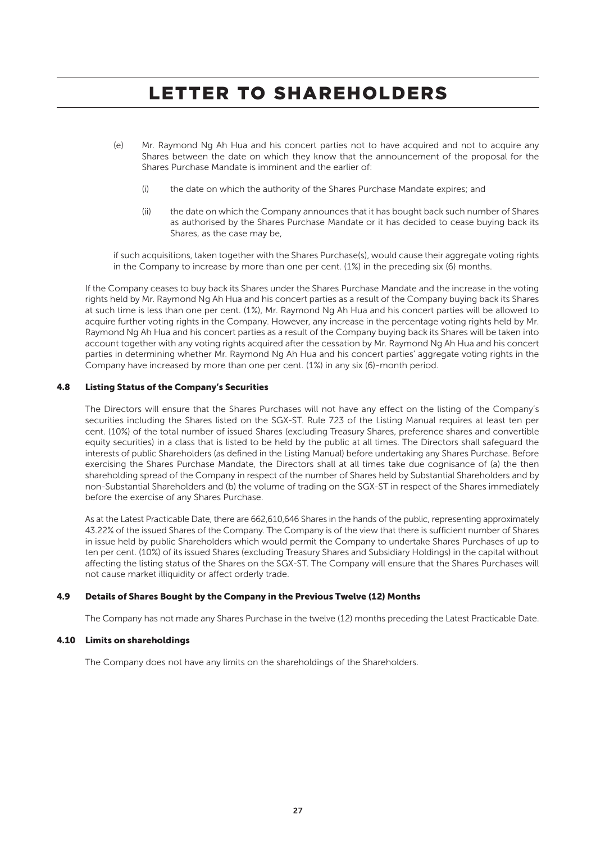- (e) Mr. Raymond Ng Ah Hua and his concert parties not to have acquired and not to acquire any Shares between the date on which they know that the announcement of the proposal for the Shares Purchase Mandate is imminent and the earlier of:
	- (i) the date on which the authority of the Shares Purchase Mandate expires; and
	- (ii) the date on which the Company announces that it has bought back such number of Shares as authorised by the Shares Purchase Mandate or it has decided to cease buying back its Shares, as the case may be,

if such acquisitions, taken together with the Shares Purchase(s), would cause their aggregate voting rights in the Company to increase by more than one per cent. (1%) in the preceding six (6) months.

If the Company ceases to buy back its Shares under the Shares Purchase Mandate and the increase in the voting rights held by Mr. Raymond Ng Ah Hua and his concert parties as a result of the Company buying back its Shares at such time is less than one per cent. (1%), Mr. Raymond Ng Ah Hua and his concert parties will be allowed to acquire further voting rights in the Company. However, any increase in the percentage voting rights held by Mr. Raymond Ng Ah Hua and his concert parties as a result of the Company buying back its Shares will be taken into account together with any voting rights acquired after the cessation by Mr. Raymond Ng Ah Hua and his concert parties in determining whether Mr. Raymond Ng Ah Hua and his concert parties' aggregate voting rights in the Company have increased by more than one per cent. (1%) in any six (6)-month period.

### 4.8 Listing Status of the Company's Securities

The Directors will ensure that the Shares Purchases will not have any effect on the listing of the Company's securities including the Shares listed on the SGX-ST. Rule 723 of the Listing Manual requires at least ten per cent. (10%) of the total number of issued Shares (excluding Treasury Shares, preference shares and convertible equity securities) in a class that is listed to be held by the public at all times. The Directors shall safeguard the interests of public Shareholders (as defined in the Listing Manual) before undertaking any Shares Purchase. Before exercising the Shares Purchase Mandate, the Directors shall at all times take due cognisance of (a) the then shareholding spread of the Company in respect of the number of Shares held by Substantial Shareholders and by non-Substantial Shareholders and (b) the volume of trading on the SGX-ST in respect of the Shares immediately before the exercise of any Shares Purchase.

As at the Latest Practicable Date, there are 662,610,646 Shares in the hands of the public, representing approximately 43.22% of the issued Shares of the Company. The Company is of the view that there is sufficient number of Shares in issue held by public Shareholders which would permit the Company to undertake Shares Purchases of up to ten per cent. (10%) of its issued Shares (excluding Treasury Shares and Subsidiary Holdings) in the capital without affecting the listing status of the Shares on the SGX-ST. The Company will ensure that the Shares Purchases will not cause market illiquidity or affect orderly trade.

#### 4.9 Details of Shares Bought by the Company in the Previous Twelve (12) Months

The Company has not made any Shares Purchase in the twelve (12) months preceding the Latest Practicable Date.

### 4.10 Limits on shareholdings

The Company does not have any limits on the shareholdings of the Shareholders.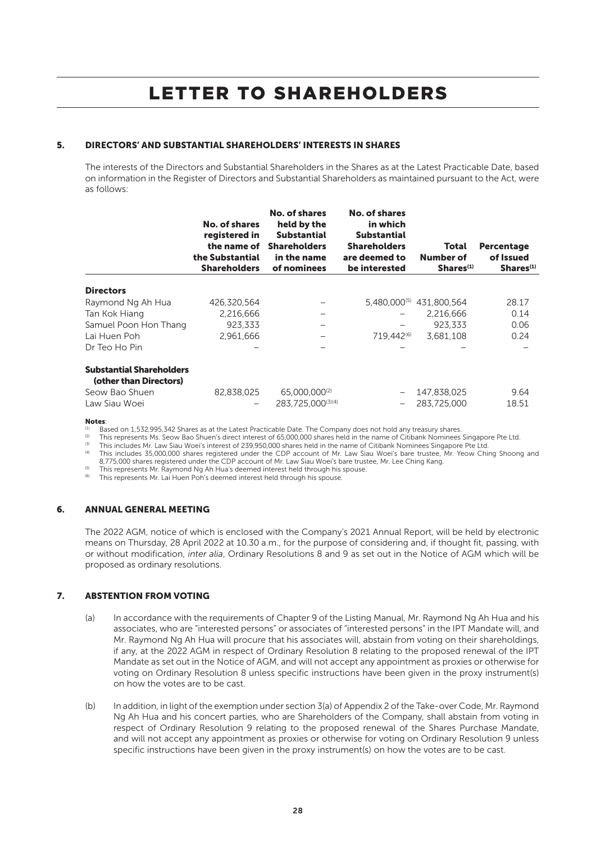### 5. DIRECTORS' AND SUBSTANTIAL SHAREHOLDERS' INTERESTS IN SHARES

The interests of the Directors and Substantial Shareholders in the Shares as at the Latest Practicable Date, based on information in the Register of Directors and Substantial Shareholders as maintained pursuant to the Act, were as follows:

|                                                           | No. of shares<br>registered in<br>the name of<br>the Substantial<br><b>Shareholders</b> | No. of shares<br>held by the<br><b>Substantial</b><br><b>Shareholders</b><br>in the name<br>of nominees | No. of shares<br>in which<br><b>Substantial</b><br><b>Shareholders</b><br>are deemed to<br>be interested | Total<br>Number of<br>Shares <sup>(1)</sup> | <b>Percentage</b><br>of Issued<br>Shares <sup>(1)</sup> |
|-----------------------------------------------------------|-----------------------------------------------------------------------------------------|---------------------------------------------------------------------------------------------------------|----------------------------------------------------------------------------------------------------------|---------------------------------------------|---------------------------------------------------------|
| <b>Directors</b>                                          |                                                                                         |                                                                                                         |                                                                                                          |                                             |                                                         |
| Raymond Ng Ah Hua                                         | 426,320,564                                                                             |                                                                                                         |                                                                                                          | 5,480,000 <sup>(5)</sup> 431,800,564        | 28.17                                                   |
| Tan Kok Hiang                                             | 2,216,666                                                                               |                                                                                                         |                                                                                                          | 2.216.666                                   | 0.14                                                    |
| Samuel Poon Hon Thang                                     | 923.333                                                                                 |                                                                                                         |                                                                                                          | 923.333                                     | 0.06                                                    |
| Lai Huen Poh                                              | 2.961.666                                                                               |                                                                                                         | 719.442 <sup>(6)</sup>                                                                                   | 3.681.108                                   | 0.24                                                    |
| Dr Teo Ho Pin                                             |                                                                                         |                                                                                                         |                                                                                                          |                                             |                                                         |
| <b>Substantial Shareholders</b><br>(other than Directors) |                                                                                         |                                                                                                         |                                                                                                          |                                             |                                                         |
| Seow Bao Shuen<br>Law Siau Woei                           | 82.838.025<br>-                                                                         | 65,000,000 <sup>(2)</sup><br>283.725.000(3)(4)                                                          |                                                                                                          | 147,838,025<br>283.725.000                  | 9.64<br>18.51                                           |

#### Notes:

<sup>(1)</sup> Based on 1,532,995,342 Shares as at the Latest Practicable Date. The Company does not hold any treasury shares.<br><sup>(2)</sup> This represents Ms. Seow Bao Shuen's direct interest of 65,000,000 shares held in the name of Citi

This includes Mr. Law Siau Woei's interest of 239,950,000 shares held in the name of Citibank Nominees Singapore Pte Ltd.<br>This includes 35,000,000 shares registered under the CDP account of Mr. Law Siau Woei's bare trustee

8,775,000 shares registered under the CDP account of Mr. Law Siau Woei's bare trustee, Mr. Lee Ching Kang. (5) This represents Mr. Raymond Ng Ah Hua's deemed interest held through his spouse.<br>
(6) This represents Mr. Raymond Ng Ah Hua's deemed interest held through his spouse.

This represents Mr. Lai Huen Poh's deemed interest held through his spouse.

### 6. ANNUAL GENERAL MEETING

The 2022 AGM, notice of which is enclosed with the Company's 2021 Annual Report, will be held by electronic means on Thursday, 28 April 2022 at 10.30 a.m., for the purpose of considering and, if thought fit, passing, with or without modification, *inter alia*, Ordinary Resolutions 8 and 9 as set out in the Notice of AGM which will be proposed as ordinary resolutions.

### 7. ABSTENTION FROM VOTING

- (a) In accordance with the requirements of Chapter 9 of the Listing Manual, Mr. Raymond Ng Ah Hua and his associates, who are "interested persons" or associates of "interested persons" in the IPT Mandate will, and Mr. Raymond Ng Ah Hua will procure that his associates will, abstain from voting on their shareholdings, if any, at the 2022 AGM in respect of Ordinary Resolution 8 relating to the proposed renewal of the IPT Mandate as set out in the Notice of AGM, and will not accept any appointment as proxies or otherwise for voting on Ordinary Resolution 8 unless specific instructions have been given in the proxy instrument(s) on how the votes are to be cast.
- (b) In addition, in light of the exemption under section 3(a) of Appendix 2 of the Take-over Code, Mr. Raymond Ng Ah Hua and his concert parties, who are Shareholders of the Company, shall abstain from voting in respect of Ordinary Resolution 9 relating to the proposed renewal of the Shares Purchase Mandate, and will not accept any appointment as proxies or otherwise for voting on Ordinary Resolution 9 unless specific instructions have been given in the proxy instrument(s) on how the votes are to be cast.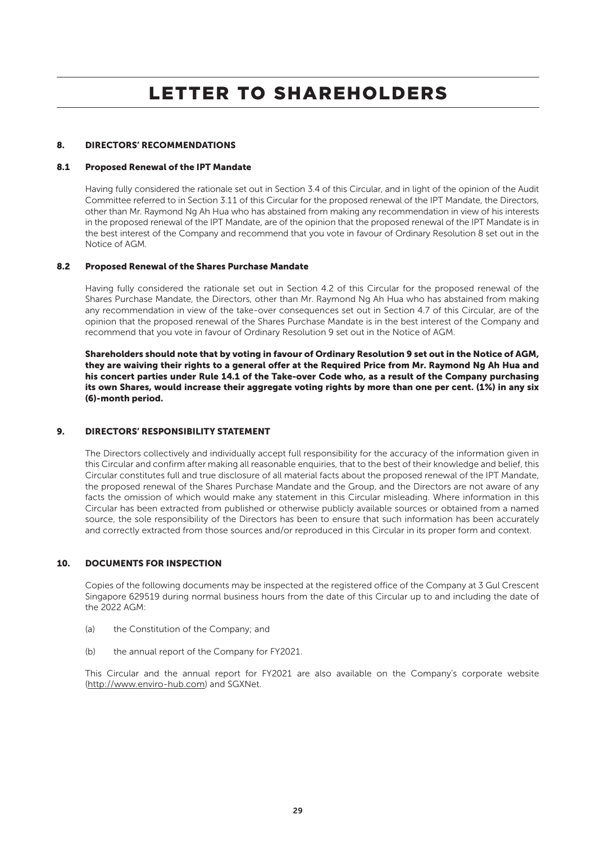### 8. DIRECTORS' RECOMMENDATIONS

#### 8.1 Proposed Renewal of the IPT Mandate

Having fully considered the rationale set out in Section 3.4 of this Circular, and in light of the opinion of the Audit Committee referred to in Section 3.11 of this Circular for the proposed renewal of the IPT Mandate, the Directors, other than Mr. Raymond Ng Ah Hua who has abstained from making any recommendation in view of his interests in the proposed renewal of the IPT Mandate, are of the opinion that the proposed renewal of the IPT Mandate is in the best interest of the Company and recommend that you vote in favour of Ordinary Resolution 8 set out in the Notice of AGM.

#### 8.2 Proposed Renewal of the Shares Purchase Mandate

Having fully considered the rationale set out in Section 4.2 of this Circular for the proposed renewal of the Shares Purchase Mandate, the Directors, other than Mr. Raymond Ng Ah Hua who has abstained from making any recommendation in view of the take-over consequences set out in Section 4.7 of this Circular, are of the opinion that the proposed renewal of the Shares Purchase Mandate is in the best interest of the Company and recommend that you vote in favour of Ordinary Resolution 9 set out in the Notice of AGM.

Shareholders should note that by voting in favour of Ordinary Resolution 9 set out in the Notice of AGM, they are waiving their rights to a general offer at the Required Price from Mr. Raymond Ng Ah Hua and his concert parties under Rule 14.1 of the Take-over Code who, as a result of the Company purchasing its own Shares, would increase their aggregate voting rights by more than one per cent. (1%) in any six (6)-month period.

### 9. DIRECTORS' RESPONSIBILITY STATEMENT

The Directors collectively and individually accept full responsibility for the accuracy of the information given in this Circular and confirm after making all reasonable enquiries, that to the best of their knowledge and belief, this Circular constitutes full and true disclosure of all material facts about the proposed renewal of the IPT Mandate, the proposed renewal of the Shares Purchase Mandate and the Group, and the Directors are not aware of any facts the omission of which would make any statement in this Circular misleading. Where information in this Circular has been extracted from published or otherwise publicly available sources or obtained from a named source, the sole responsibility of the Directors has been to ensure that such information has been accurately and correctly extracted from those sources and/or reproduced in this Circular in its proper form and context.

### 10. DOCUMENTS FOR INSPECTION

Copies of the following documents may be inspected at the registered office of the Company at 3 Gul Crescent Singapore 629519 during normal business hours from the date of this Circular up to and including the date of the  $2022$  AGM $\cdot$ 

- (a) the Constitution of the Company; and
- (b) the annual report of the Company for FY2021.

This Circular and the annual report for FY2021 are also available on the Company's corporate website (http://www.enviro-hub.com) and SGXNet.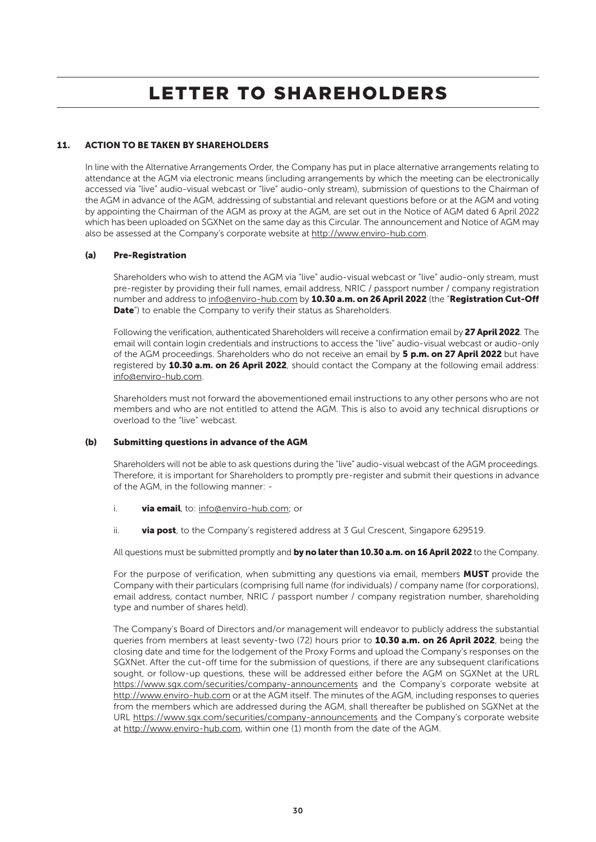### 11. ACTION TO BE TAKEN BY SHAREHOLDERS

In line with the Alternative Arrangements Order, the Company has put in place alternative arrangements relating to attendance at the AGM via electronic means (including arrangements by which the meeting can be electronically accessed via "live" audio-visual webcast or "live" audio-only stream), submission of questions to the Chairman of the AGM in advance of the AGM, addressing of substantial and relevant questions before or at the AGM and voting by appointing the Chairman of the AGM as proxy at the AGM, are set out in the Notice of AGM dated 6 April 2022 which has been uploaded on SGXNet on the same day as this Circular. The announcement and Notice of AGM may also be assessed at the Company's corporate website at http://www.enviro-hub.com.

### (a) Pre-Registration

Shareholders who wish to attend the AGM via "live" audio-visual webcast or "live" audio-only stream, must pre-register by providing their full names, email address, NRIC / passport number / company registration number and address to info@enviro-hub.com by 10.30 a.m. on 26 April 2022 (the "Registration Cut-Off Date") to enable the Company to verify their status as Shareholders.

Following the verification, authenticated Shareholders will receive a confirmation email by 27 April 2022. The email will contain login credentials and instructions to access the "live" audio-visual webcast or audio-only of the AGM proceedings. Shareholders who do not receive an email by 5 p.m. on 27 April 2022 but have registered by 10.30 a.m. on 26 April 2022, should contact the Company at the following email address: info@enviro-hub.com.

Shareholders must not forward the abovementioned email instructions to any other persons who are not members and who are not entitled to attend the AGM. This is also to avoid any technical disruptions or overload to the "live" webcast.

### (b) Submitting questions in advance of the AGM

Shareholders will not be able to ask questions during the "live" audio-visual webcast of the AGM proceedings. Therefore, it is important for Shareholders to promptly pre-register and submit their questions in advance of the AGM, in the following manner: -

- i. **via email**, to: info@enviro-hub.com; or
- ii. via post, to the Company's registered address at 3 Gul Crescent, Singapore 629519.

All questions must be submitted promptly and by no later than 10.30 a.m. on 16 April 2022 to the Company.

For the purpose of verification, when submitting any questions via email, members **MUST** provide the Company with their particulars (comprising full name (for individuals) / company name (for corporations), email address, contact number, NRIC / passport number / company registration number, shareholding type and number of shares held).

The Company's Board of Directors and/or management will endeavor to publicly address the substantial queries from members at least seventy-two (72) hours prior to 10.30 a.m. on 26 April 2022, being the closing date and time for the lodgement of the Proxy Forms and upload the Company's responses on the SGXNet. After the cut-off time for the submission of questions, if there are any subsequent clarifications sought, or follow-up questions, these will be addressed either before the AGM on SGXNet at the URL https://www.sgx.com/securities/company-announcements and the Company's corporate website at http://www.enviro-hub.com or at the AGM itself. The minutes of the AGM, including responses to queries from the members which are addressed during the AGM, shall thereafter be published on SGXNet at the URL https://www.sgx.com/securities/company-announcements and the Company's corporate website at http://www.enviro-hub.com, within one (1) month from the date of the AGM.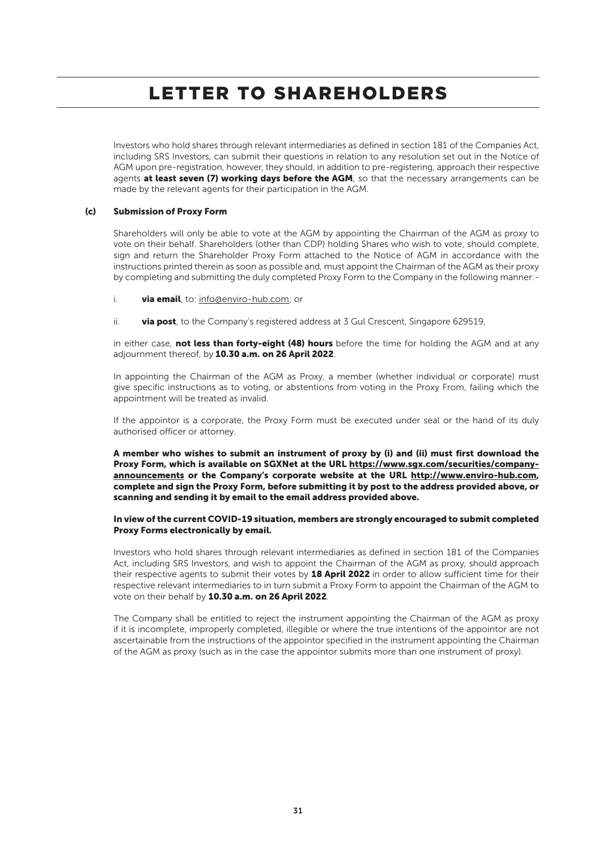Investors who hold shares through relevant intermediaries as defined in section 181 of the Companies Act, including SRS Investors, can submit their questions in relation to any resolution set out in the Notice of AGM upon pre-registration, however, they should, in addition to pre-registering, approach their respective agents at least seven (7) working days before the AGM, so that the necessary arrangements can be made by the relevant agents for their participation in the AGM.

### (c) Submission of Proxy Form

Shareholders will only be able to vote at the AGM by appointing the Chairman of the AGM as proxy to vote on their behalf. Shareholders (other than CDP) holding Shares who wish to vote, should complete, sign and return the Shareholder Proxy Form attached to the Notice of AGM in accordance with the instructions printed therein as soon as possible and, must appoint the Chairman of the AGM as their proxy by completing and submitting the duly completed Proxy Form to the Company in the following manner:-

- i. via email, to: info@enviro-hub.com; or
- ii. **via post**, to the Company's registered address at  $\overline{3}$  Gul Crescent, Singapore 629519,

in either case, not less than forty-eight (48) hours before the time for holding the AGM and at any adjournment thereof, by 10.30 a.m. on 26 April 2022.

In appointing the Chairman of the AGM as Proxy, a member (whether individual or corporate) must give specific instructions as to voting, or abstentions from voting in the Proxy From, failing which the appointment will be treated as invalid.

If the appointor is a corporate, the Proxy Form must be executed under seal or the hand of its duly authorised officer or attorney.

A member who wishes to submit an instrument of proxy by (i) and (ii) must first download the Proxy Form, which is available on SGXNet at the URL https://www.sgx.com/securities/companyannouncements or the Company's corporate website at the URL http://www.enviro-hub.com, complete and sign the Proxy Form, before submitting it by post to the address provided above, or scanning and sending it by email to the email address provided above.

### In view of the current COVID-19 situation, members are strongly encouraged to submit completed Proxy Forms electronically by email.

Investors who hold shares through relevant intermediaries as defined in section 181 of the Companies Act, including SRS Investors, and wish to appoint the Chairman of the AGM as proxy, should approach their respective agents to submit their votes by 18 April 2022 in order to allow sufficient time for their respective relevant intermediaries to in turn submit a Proxy Form to appoint the Chairman of the AGM to vote on their behalf by 10.30 a.m. on 26 April 2022.

The Company shall be entitled to reject the instrument appointing the Chairman of the AGM as proxy if it is incomplete, improperly completed, illegible or where the true intentions of the appointor are not ascertainable from the instructions of the appointor specified in the instrument appointing the Chairman of the AGM as proxy (such as in the case the appointor submits more than one instrument of proxy).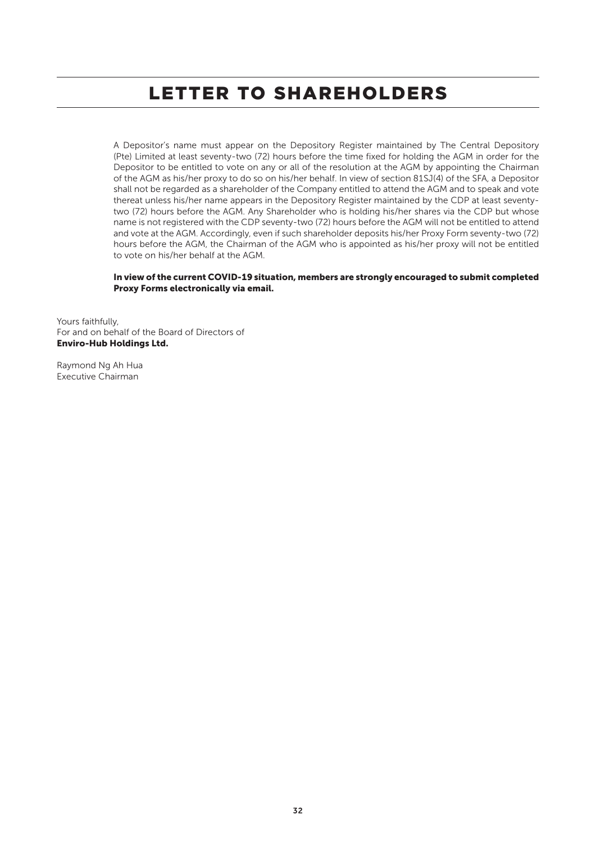A Depositor's name must appear on the Depository Register maintained by The Central Depository (Pte) Limited at least seventy-two (72) hours before the time fixed for holding the AGM in order for the Depositor to be entitled to vote on any or all of the resolution at the AGM by appointing the Chairman of the AGM as his/her proxy to do so on his/her behalf. In view of section 81SJ(4) of the SFA, a Depositor shall not be regarded as a shareholder of the Company entitled to attend the AGM and to speak and vote thereat unless his/her name appears in the Depository Register maintained by the CDP at least seventytwo (72) hours before the AGM. Any Shareholder who is holding his/her shares via the CDP but whose name is not registered with the CDP seventy-two (72) hours before the AGM will not be entitled to attend and vote at the AGM. Accordingly, even if such shareholder deposits his/her Proxy Form seventy-two (72) hours before the AGM, the Chairman of the AGM who is appointed as his/her proxy will not be entitled to vote on his/her behalf at the AGM.

### In view of the current COVID-19 situation, members are strongly encouraged to submit completed Proxy Forms electronically via email.

Yours faithfully, For and on behalf of the Board of Directors of Enviro-Hub Holdings Ltd.

Raymond Ng Ah Hua Executive Chairman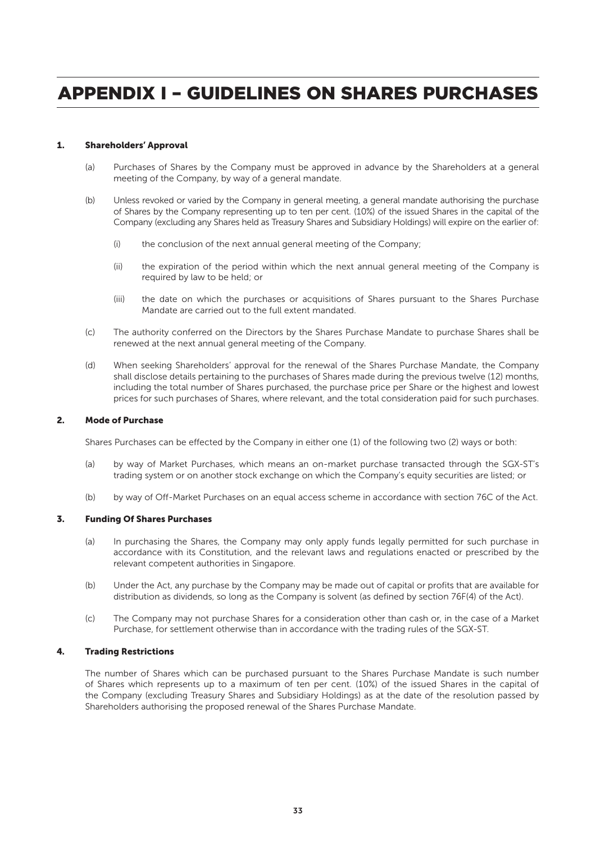### 1. Shareholders' Approval

- (a) Purchases of Shares by the Company must be approved in advance by the Shareholders at a general meeting of the Company, by way of a general mandate.
- (b) Unless revoked or varied by the Company in general meeting, a general mandate authorising the purchase of Shares by the Company representing up to ten per cent. (10%) of the issued Shares in the capital of the Company (excluding any Shares held as Treasury Shares and Subsidiary Holdings) will expire on the earlier of:
	- (i) the conclusion of the next annual general meeting of the Company;
	- (ii) the expiration of the period within which the next annual general meeting of the Company is required by law to be held; or
	- (iii) the date on which the purchases or acquisitions of Shares pursuant to the Shares Purchase Mandate are carried out to the full extent mandated.
- (c) The authority conferred on the Directors by the Shares Purchase Mandate to purchase Shares shall be renewed at the next annual general meeting of the Company.
- (d) When seeking Shareholders' approval for the renewal of the Shares Purchase Mandate, the Company shall disclose details pertaining to the purchases of Shares made during the previous twelve (12) months, including the total number of Shares purchased, the purchase price per Share or the highest and lowest prices for such purchases of Shares, where relevant, and the total consideration paid for such purchases.

### 2. Mode of Purchase

Shares Purchases can be effected by the Company in either one (1) of the following two (2) ways or both:

- (a) by way of Market Purchases, which means an on-market purchase transacted through the SGX-ST's trading system or on another stock exchange on which the Company's equity securities are listed; or
- (b) by way of Off-Market Purchases on an equal access scheme in accordance with section 76C of the Act.

#### 3. Funding Of Shares Purchases

- (a) In purchasing the Shares, the Company may only apply funds legally permitted for such purchase in accordance with its Constitution, and the relevant laws and regulations enacted or prescribed by the relevant competent authorities in Singapore.
- (b) Under the Act, any purchase by the Company may be made out of capital or profits that are available for distribution as dividends, so long as the Company is solvent (as defined by section 76F(4) of the Act).
- (c) The Company may not purchase Shares for a consideration other than cash or, in the case of a Market Purchase, for settlement otherwise than in accordance with the trading rules of the SGX-ST.

### 4. Trading Restrictions

The number of Shares which can be purchased pursuant to the Shares Purchase Mandate is such number of Shares which represents up to a maximum of ten per cent. (10%) of the issued Shares in the capital of the Company (excluding Treasury Shares and Subsidiary Holdings) as at the date of the resolution passed by Shareholders authorising the proposed renewal of the Shares Purchase Mandate.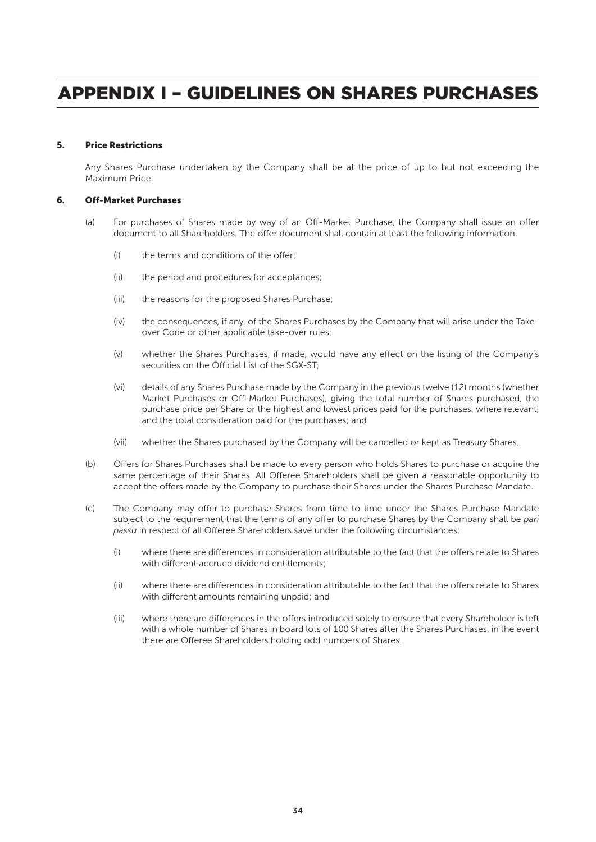### 5. Price Restrictions

Any Shares Purchase undertaken by the Company shall be at the price of up to but not exceeding the Maximum Price.

#### 6. Off-Market Purchases

- (a) For purchases of Shares made by way of an Off-Market Purchase, the Company shall issue an offer document to all Shareholders. The offer document shall contain at least the following information:
	- (i) the terms and conditions of the offer;
	- (ii) the period and procedures for acceptances;
	- (iii) the reasons for the proposed Shares Purchase;
	- (iv) the consequences, if any, of the Shares Purchases by the Company that will arise under the Takeover Code or other applicable take-over rules;
	- (v) whether the Shares Purchases, if made, would have any effect on the listing of the Company's securities on the Official List of the SGX-ST;
	- (vi) details of any Shares Purchase made by the Company in the previous twelve (12) months (whether Market Purchases or Off-Market Purchases), giving the total number of Shares purchased, the purchase price per Share or the highest and lowest prices paid for the purchases, where relevant, and the total consideration paid for the purchases; and
	- (vii) whether the Shares purchased by the Company will be cancelled or kept as Treasury Shares.
- (b) Offers for Shares Purchases shall be made to every person who holds Shares to purchase or acquire the same percentage of their Shares. All Offeree Shareholders shall be given a reasonable opportunity to accept the offers made by the Company to purchase their Shares under the Shares Purchase Mandate.
- (c) The Company may offer to purchase Shares from time to time under the Shares Purchase Mandate subject to the requirement that the terms of any offer to purchase Shares by the Company shall be *pari passu* in respect of all Offeree Shareholders save under the following circumstances:
	- (i) where there are differences in consideration attributable to the fact that the offers relate to Shares with different accrued dividend entitlements;
	- (ii) where there are differences in consideration attributable to the fact that the offers relate to Shares with different amounts remaining unpaid; and
	- (iii) where there are differences in the offers introduced solely to ensure that every Shareholder is left with a whole number of Shares in board lots of 100 Shares after the Shares Purchases, in the event there are Offeree Shareholders holding odd numbers of Shares.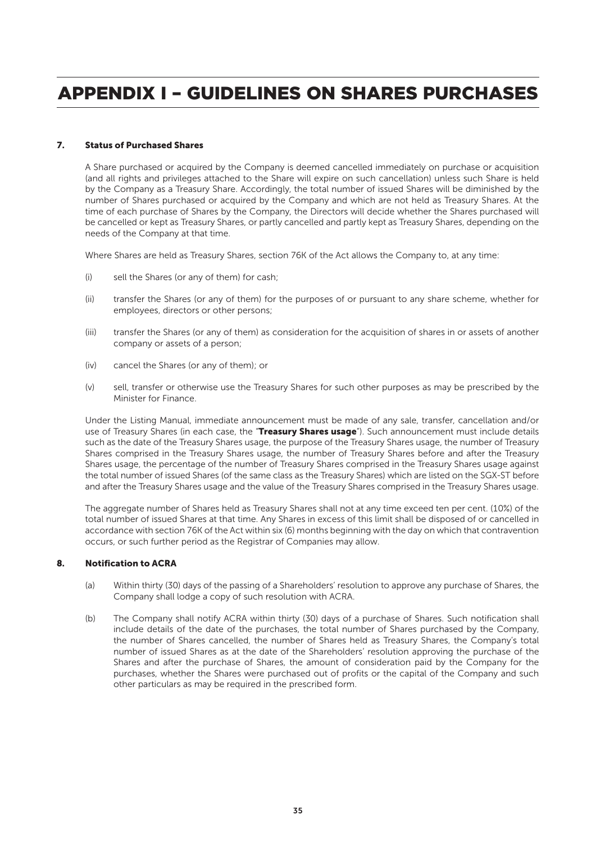### 7. Status of Purchased Shares

A Share purchased or acquired by the Company is deemed cancelled immediately on purchase or acquisition (and all rights and privileges attached to the Share will expire on such cancellation) unless such Share is held by the Company as a Treasury Share. Accordingly, the total number of issued Shares will be diminished by the number of Shares purchased or acquired by the Company and which are not held as Treasury Shares. At the time of each purchase of Shares by the Company, the Directors will decide whether the Shares purchased will be cancelled or kept as Treasury Shares, or partly cancelled and partly kept as Treasury Shares, depending on the needs of the Company at that time.

Where Shares are held as Treasury Shares, section 76K of the Act allows the Company to, at any time:

- (i) sell the Shares (or any of them) for cash;
- (ii) transfer the Shares (or any of them) for the purposes of or pursuant to any share scheme, whether for employees, directors or other persons;
- (iii) transfer the Shares (or any of them) as consideration for the acquisition of shares in or assets of another company or assets of a person;
- (iv) cancel the Shares (or any of them); or
- (v) sell, transfer or otherwise use the Treasury Shares for such other purposes as may be prescribed by the Minister for Finance.

Under the Listing Manual, immediate announcement must be made of any sale, transfer, cancellation and/or use of Treasury Shares (in each case, the "Treasury Shares usage"). Such announcement must include details such as the date of the Treasury Shares usage, the purpose of the Treasury Shares usage, the number of Treasury Shares comprised in the Treasury Shares usage, the number of Treasury Shares before and after the Treasury Shares usage, the percentage of the number of Treasury Shares comprised in the Treasury Shares usage against the total number of issued Shares (of the same class as the Treasury Shares) which are listed on the SGX-ST before and after the Treasury Shares usage and the value of the Treasury Shares comprised in the Treasury Shares usage.

The aggregate number of Shares held as Treasury Shares shall not at any time exceed ten per cent. (10%) of the total number of issued Shares at that time. Any Shares in excess of this limit shall be disposed of or cancelled in accordance with section 76K of the Act within six (6) months beginning with the day on which that contravention occurs, or such further period as the Registrar of Companies may allow.

### 8. Notification to ACRA

- (a) Within thirty (30) days of the passing of a Shareholders' resolution to approve any purchase of Shares, the Company shall lodge a copy of such resolution with ACRA.
- (b) The Company shall notify ACRA within thirty (30) days of a purchase of Shares. Such notification shall include details of the date of the purchases, the total number of Shares purchased by the Company, the number of Shares cancelled, the number of Shares held as Treasury Shares, the Company's total number of issued Shares as at the date of the Shareholders' resolution approving the purchase of the Shares and after the purchase of Shares, the amount of consideration paid by the Company for the purchases, whether the Shares were purchased out of profits or the capital of the Company and such other particulars as may be required in the prescribed form.